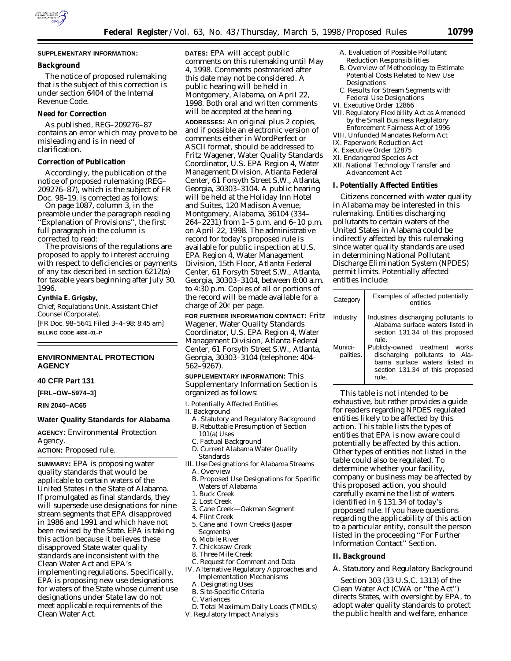

#### **Background**

The notice of proposed rulemaking that is the subject of this correction is under section 6404 of the Internal Revenue Code.

## **Need for Correction**

As published, REG–209276–87 contains an error which may prove to be misleading and is in need of clarification.

#### **Correction of Publication**

Accordingly, the publication of the notice of proposed rulemaking (REG– 209276–87), which is the subject of FR Doc. 98–19, is corrected as follows:

On page 1087, column 3, in the preamble under the paragraph reading ''Explanation of Provisions'', the first full paragraph in the column is corrected to read:

The provisions of the regulations are proposed to apply to interest accruing with respect to deficiencies or payments of any tax described in section 6212(a) for taxable years beginning after July 30, 1996.

## **Cynthia E. Grigsby,**

*Chief, Regulations Unit, Assistant Chief Counsel (Corporate).*

[FR Doc. 98–5641 Filed 3–4–98; 8:45 am] **BILLING CODE 4830–01–P**

## **ENVIRONMENTAL PROTECTION AGENCY**

#### **40 CFR Part 131**

**[FRL–OW–5974–3]**

**RIN 2040–AC65**

#### **Water Quality Standards for Alabama**

**AGENCY:** Environmental Protection Agency. **ACTION:** Proposed rule.

**SUMMARY:** EPA is proposing water quality standards that would be applicable to certain waters of the United States in the State of Alabama. If promulgated as final standards, they will supersede use designations for nine stream segments that EPA disapproved in 1986 and 1991 and which have not been revised by the State. EPA is taking this action because it believes these disapproved State water quality standards are inconsistent with the Clean Water Act and EPA's implementing regulations. Specifically, EPA is proposing new use designations for waters of the State whose current use designations under State law do not meet applicable requirements of the Clean Water Act.

**DATES:** EPA will accept public comments on this rulemaking until May 4, 1998. Comments postmarked after this date may not be considered. A public hearing will be held in Montgomery, Alabama, on April 22, 1998. Both oral and written comments will be accepted at the hearing.

**ADDRESSES:** An original plus 2 copies, and if possible an electronic version of comments either in WordPerfect or ASCII format, should be addressed to Fritz Wagener, Water Quality Standards Coordinator, U.S. EPA Region 4, Water Management Division, Atlanta Federal Center, 61 Forsyth Street S.W., Atlanta, Georgia, 30303–3104. A public hearing will be held at the Holiday Inn Hotel and Suites, 120 Madison Avenue, Montgomery, Alabama, 36104 (334– 264–2231) from 1–5 p.m. and 6–10 p.m. on April 22, 1998. The administrative record for today's proposed rule is available for public inspection at U.S. EPA Region 4, Water Management Division, 15th Floor, Atlanta Federal Center, 61 Forsyth Street S.W., Atlanta, Georgia, 30303–3104, between 8:00 a.m. to 4:30 p.m. Copies of all or portions of the record will be made available for a charge of  $20¢$  per page.

**FOR FURTHER INFORMATION CONTACT:** Fritz Wagener, Water Quality Standards Coordinator, U.S. EPA Region 4, Water Management Division, Atlanta Federal Center, 61 Forsyth Street S.W., Atlanta, Georgia, 30303–3104 (telephone: 404– 562–9267).

# **SUPPLEMENTARY INFORMATION:** This

Supplementary Information Section is organized as follows:

I. Potentially Affected Entities

II. Background

- A. Statutory and Regulatory Background B. Rebuttable Presumption of Section 101(a) Uses
- C. Factual Background
- D. Current Alabama Water Quality Standards
- III. Use Designations for Alabama Streams A. Overview
- 
- B. Proposed Use Designations for Specific Waters of Alabama
- 1. Buck Creek
- 2. Lost Creek
- 3. Cane Creek—Oakman Segment
- 4. Flint Creek
- 5. Cane and Town Creeks (Jasper Segments)
- 6. Mobile River
- 7. Chickasaw Creek
- 8. Three Mile Creek
- C. Request for Comment and Data
- IV. Alternative Regulatory Approaches and Implementation Mechanisms
	- A. Designating Uses
	- B. Site-Specific Criteria
	- C. Variances
- D. Total Maximum Daily Loads (TMDLs) V. Regulatory Impact Analysis
- A. Evaluation of Possible Pollutant Reduction Responsibilities
- B. Overview of Methodology to Estimate Potential Costs Related to New Use Designations
- C. Results for Stream Segments with Federal Use Designations
- VI. Executive Order 12866
- VII. Regulatory Flexibility Act as Amended by the Small Business Regulatory Enforcement Fairness Act of 1996
- VIII. Unfunded Mandates Reform Act
- IX. Paperwork Reduction Act
- X. Executive Order 12875
- XI. Endangered Species Act
- XII. National Technology Transfer and Advancement Act

#### **I. Potentially Affected Entities**

Citizens concerned with water quality in Alabama may be interested in this rulemaking. Entities discharging pollutants to certain waters of the United States in Alabama could be indirectly affected by this rulemaking since water quality standards are used in determining National Pollutant Discharge Elimination System (NPDES) permit limits. Potentially affected entities include:

| Category             | Examples of affected potentially<br>entities                                                                                                  |
|----------------------|-----------------------------------------------------------------------------------------------------------------------------------------------|
| Industry             | Industries discharging pollutants to<br>Alabama surface waters listed in<br>section 131.34 of this proposed<br>rule.                          |
| Munici-<br>palities. | Publicly-owned treatment works<br>discharging pollutants to Ala-<br>bama surface waters listed in<br>section 131.34 of this proposed<br>rule. |

This table is not intended to be exhaustive, but rather provides a guide for readers regarding NPDES regulated entities likely to be affected by this action. This table lists the types of entities that EPA is now aware could potentially be affected by this action. Other types of entities not listed in the table could also be regulated. To determine whether your facility, company or business may be affected by this proposed action, you should carefully examine the list of waters identified in § 131.34 of today's proposed rule. If you have questions regarding the applicability of this action to a particular entity, consult the person listed in the proceeding ''For Further Information Contact'' Section.

#### **II. Background**

# *A. Statutory and Regulatory Background*

Section 303 (33 U.S.C. 1313) of the Clean Water Act (CWA or ''the Act'') directs States, with oversight by EPA, to adopt water quality standards to protect the public health and welfare, enhance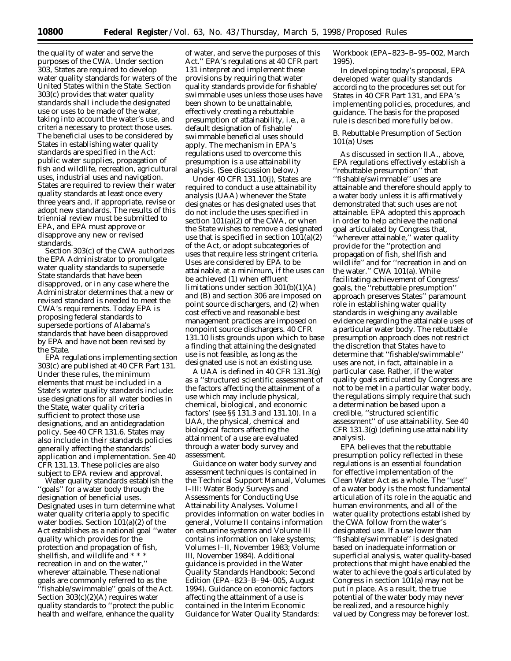the quality of water and serve the purposes of the CWA. Under section 303, States are required to develop water quality standards for waters of the United States within the State. Section 303(c) provides that water quality standards shall include the designated use or uses to be made of the water, taking into account the water's use, and criteria necessary to protect those uses. The beneficial uses to be considered by States in establishing water quality standards are specified in the Act: public water supplies, propagation of fish and wildlife, recreation, agricultural uses, industrial uses and navigation. States are required to review their water quality standards at least once every three years and, if appropriate, revise or adopt new standards. The results of this triennial review must be submitted to EPA, and EPA must approve or disapprove any new or revised standards.

Section 303(c) of the CWA authorizes the EPA Administrator to promulgate water quality standards to supersede State standards that have been disapproved, or in any case where the Administrator determines that a new or revised standard is needed to meet the CWA's requirements. Today EPA is proposing federal standards to supersede portions of Alabama's standards that have been disapproved by EPA and have not been revised by the State.

EPA regulations implementing section 303(c) are published at 40 CFR Part 131. Under these rules, the minimum elements that must be included in a State's water quality standards include: use designations for all water bodies in the State, water quality criteria sufficient to protect those use designations, and an antidegradation policy. See 40 CFR 131.6. States may also include in their standards policies generally affecting the standards' application and implementation. See 40 CFR 131.13. These policies are also subject to EPA review and approval.

Water quality standards establish the ''goals'' for a water body through the designation of beneficial uses. Designated uses in turn determine what water quality criteria apply to specific water bodies. Section 101(a)(2) of the Act establishes as a national goal ''water quality which provides for the protection and propagation of fish, shellfish, and wildlife and \* \* \* recreation in and on the water,'' wherever attainable. These national goals are commonly referred to as the ''fishable/swimmable'' goals of the Act. Section 303(c)(2)(A) requires water quality standards to ''protect the public health and welfare, enhance the quality

of water, and serve the purposes of this Act.'' EPA's regulations at 40 CFR part 131 interpret and implement these provisions by requiring that water quality standards provide for fishable/ swimmable uses unless those uses have been shown to be unattainable, effectively creating a rebuttable presumption of attainability, i.e., a default designation of fishable/ swimmable beneficial uses should apply. The mechanism in EPA's regulations used to overcome this presumption is a use attainability analysis. (See discussion below.)

Under 40 CFR 131.10(j), States are required to conduct a use attainability analysis (UAA) whenever the State designates or has designated uses that do not include the uses specified in section  $101(a)(2)$  of the CWA, or when the State wishes to remove a designated use that is specified in section 101(a)(2) of the Act, or adopt subcategories of uses that require less stringent criteria. Uses are considered by EPA to be attainable, at a minimum, if the uses can be achieved (1) when effluent limitations under section 301(b)(1)(A) and (B) and section 306 are imposed on point source dischargers, and (2) when cost effective and reasonable best management practices are imposed on nonpoint source dischargers. 40 CFR 131.10 lists grounds upon which to base a finding that attaining the designated use is not feasible, as long as the designated use is not an existing use.

A UAA is defined in 40 CFR 131.3(g) as a ''structured scientific assessment of the factors affecting the attainment of a use which may include physical, chemical, biological, and economic factors' (see §§ 131.3 and 131.10). In a UAA, the physical, chemical and biological factors affecting the attainment of a use are evaluated through a water body survey and assessment.

Guidance on water body survey and assessment techniques is contained in the Technical Support Manual, Volumes I–III: Water Body Surveys and Assessments for Conducting Use Attainability Analyses. Volume I provides information on water bodies in general, Volume II contains information on estuarine systems and Volume III contains information on lake systems; Volumes I–II, November 1983; Volume III, November 1984). Additional guidance is provided in the Water Quality Standards Handbook: Second Edition (EPA–823–B–94–005, August 1994). Guidance on economic factors affecting the attainment of a use is contained in the Interim Economic Guidance for Water Quality Standards:

Workbook (EPA–823–B–95–002, March 1995).

In developing today's proposal, EPA developed water quality standards according to the procedures set out for States in 40 CFR Part 131, and EPA's implementing policies, procedures, and guidance. The basis for the proposed rule is described more fully below.

#### *B. Rebuttable Presumption of Section 101(a) Uses*

As discussed in section II.A., above, EPA regulations effectively establish a ''rebuttable presumption'' that ''fishable/swimmable'' uses are attainable and therefore should apply to a water body unless it is affirmatively demonstrated that such uses are not attainable. EPA adopted this approach in order to help achieve the national goal articulated by Congress that, 'wherever attainable," water quality provide for the ''protection and propagation of fish, shellfish and wildlife'' and for ''recreation in and on the water.'' CWA 101(a). While facilitating achievement of Congress' goals, the ''rebuttable presumption'' approach preserves States'' paramount role in establishing water quality standards in weighing any available evidence regarding the attainable uses of a particular water body. The rebuttable presumption approach does not restrict the discretion that States have to determine that ''fishable/swimmable'' uses are not, in fact, attainable in a particular case. Rather, if the water quality goals articulated by Congress are not to be met in a particular water body, the regulations simply require that such a determination be based upon a credible, ''structured scientific assessment'' of use attainability. See 40 CFR 131.3(g) (defining use attainability analysis).

EPA believes that the rebuttable presumption policy reflected in these regulations is an essential foundation for effective implementation of the Clean Water Act as a whole. The ''use'' of a water body is the most fundamental articulation of its role in the aquatic and human environments, and all of the water quality protections established by the CWA follow from the water's designated use. If a use lower than ''fishable/swimmable'' is designated based on inadequate information or superficial analysis, water quality-based protections that might have enabled the water to achieve the goals articulated by Congress in section 101(a) may not be put in place. As a result, the true potential of the water body may never be realized, and a resource highly valued by Congress may be forever lost.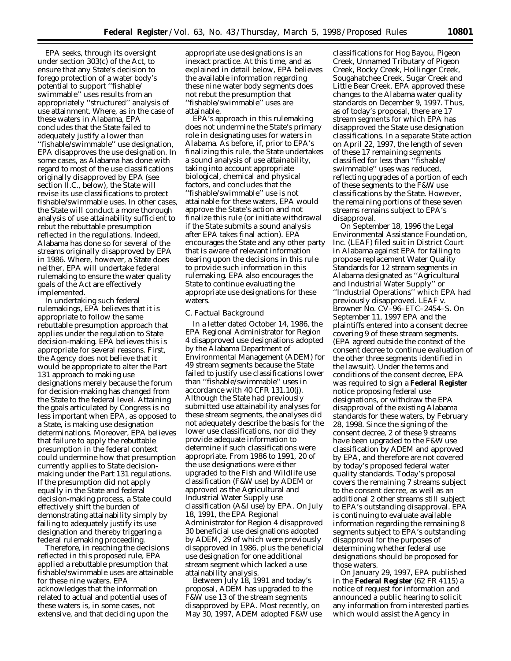EPA seeks, through its oversight under section 303(c) of the Act, to ensure that any State's decision to forego protection of a water body's potential to support ''fishable/ swimmable'' uses results from an appropriately ''structured'' analysis of use attainment. Where, as in the case of these waters in Alabama, EPA concludes that the State failed to adequately justify a lower than ''fishable/swimmable'' use designation, EPA disapproves the use designation. In some cases, as Alabama has done with regard to most of the use classifications originally disapproved by EPA (see section II.C., below), the State will revise its use classifications to protect fishable/swimmable uses. In other cases, the State will conduct a more thorough analysis of use attainability sufficient to rebut the rebuttable presumption reflected in the regulations. Indeed, Alabama has done so for several of the streams originally disapproved by EPA in 1986. Where, however, a State does neither, EPA will undertake federal rulemaking to ensure the water quality goals of the Act are effectively implemented.

In undertaking such federal rulemakings, EPA believes that it is appropriate to follow the same rebuttable presumption approach that applies under the regulation to State decision-making. EPA believes this is appropriate for several reasons. First, the Agency does not believe that it would be appropriate to alter the Part 131 approach to making use designations merely because the forum for decision-making has changed from the State to the federal level. Attaining the goals articulated by Congress is no less important when EPA, as opposed to a State, is making use designation determinations. Moreover, EPA believes that failure to apply the rebuttable presumption in the federal context could undermine how that presumption currently applies to State decisionmaking under the Part 131 regulations. If the presumption did not apply equally in the State and federal decision-making process, a State could effectively shift the burden of demonstrating attainability simply by failing to adequately justify its use designation and thereby triggering a federal rulemaking proceeding.

Therefore, in reaching the decisions reflected in this proposed rule, EPA applied a rebuttable presumption that fishable/swimmable uses are attainable for these nine waters. EPA acknowledges that the information related to actual and potential uses of these waters is, in some cases, not extensive, and that deciding upon the

appropriate use designations is an inexact practice. At this time, and as explained in detail below, EPA believes the available information regarding these nine water body segments does not rebut the presumption that ''fishable/swimmable'' uses are attainable.

EPA's approach in this rulemaking does not undermine the State's primary role in designating uses for waters in Alabama. As before, if, prior to EPA's finalizing this rule, the State undertakes a sound analysis of use attainability, taking into account appropriate biological, chemical and physical factors, and concludes that the ''fishable/swimmable'' use is not attainable for these waters, EPA would approve the State's action and not finalize this rule (or initiate withdrawal if the State submits a sound analysis after EPA takes final action). EPA encourages the State and any other party that is aware of relevant information bearing upon the decisions in this rule to provide such information in this rulemaking. EPA also encourages the State to continue evaluating the appropriate use designations for these waters.

#### *C. Factual Background*

In a letter dated October 14, 1986, the EPA Regional Administrator for Region 4 disapproved use designations adopted by the Alabama Department of Environmental Management (ADEM) for 49 stream segments because the State failed to justify use classifications lower than ''fishable/swimmable'' uses in accordance with 40 CFR 131.10(j). Although the State had previously submitted use attainability analyses for these stream segments, the analyses did not adequately describe the basis for the lower use classifications, nor did they provide adequate information to determine if such classifications were appropriate. From 1986 to 1991, 20 of the use designations were either upgraded to the Fish and Wildlife use classification (F&W use) by ADEM or approved as the Agricultural and Industrial Water Supply use classification (A&I use) by EPA. On July 18, 1991, the EPA Regional Administrator for Region 4 disapproved 30 beneficial use designations adopted by ADEM, 29 of which were previously disapproved in 1986, plus the beneficial use designation for one additional stream segment which lacked a use attainability analysis.

Between July 18, 1991 and today's proposal, ADEM has upgraded to the F&W use 13 of the stream segments disapproved by EPA. Most recently, on May 30, 1997, ADEM adopted F&W use

classifications for Hog Bayou, Pigeon Creek, Unnamed Tributary of Pigeon Creek, Rocky Creek, Hollinger Creek, Sougahatchee Creek, Sugar Creek and Little Bear Creek. EPA approved these changes to the Alabama water quality standards on December 9, 1997. Thus, as of today's proposal, there are 17 stream segments for which EPA has disapproved the State use designation classifications. In a separate State action on April 22, 1997, the length of seven of these 17 remaining segments classified for less than ''fishable/ swimmable'' uses was reduced, reflecting upgrades of a portion of each of these segments to the F&W use classifications by the State. However, the remaining portions of these seven streams remains subject to EPA's disapproval.

On September 18, 1996 the Legal Environmental Assistance Foundation, Inc. (LEAF) filed suit in District Court in Alabama against EPA for failing to propose replacement Water Quality Standards for 12 stream segments in Alabama designated as ''Agricultural and Industrial Water Supply'' or ''Industrial Operations'' which EPA had previously disapproved. *LEAF v. Browner* No. CV–96–ETC–2454–S. On September 11, 1997 EPA and the plaintiffs entered into a consent decree covering 9 of these stream segments. (EPA agreed outside the context of the consent decree to continue evaluation of the other three segments identified in the lawsuit). Under the terms and conditions of the consent decree, EPA was required to sign a **Federal Register** notice proposing federal use designations, or withdraw the EPA disapproval of the existing Alabama standards for these waters, by February 28, 1998. Since the signing of the consent decree, 2 of these 9 streams have been upgraded to the F&W use classification by ADEM and approved by EPA, and therefore are not covered by today's proposed federal water quality standards. Today's proposal covers the remaining 7 streams subject to the consent decree, as well as an additional 2 other streams still subject to EPA's outstanding disapproval. EPA is continuing to evaluate available information regarding the remaining 8 segments subject to EPA's outstanding disapproval for the purposes of determining whether federal use designations should be proposed for those waters.

On January 29, 1997, EPA published in the **Federal Register** (62 FR 4115) a notice of request for information and announced a public hearing to solicit any information from interested parties which would assist the Agency in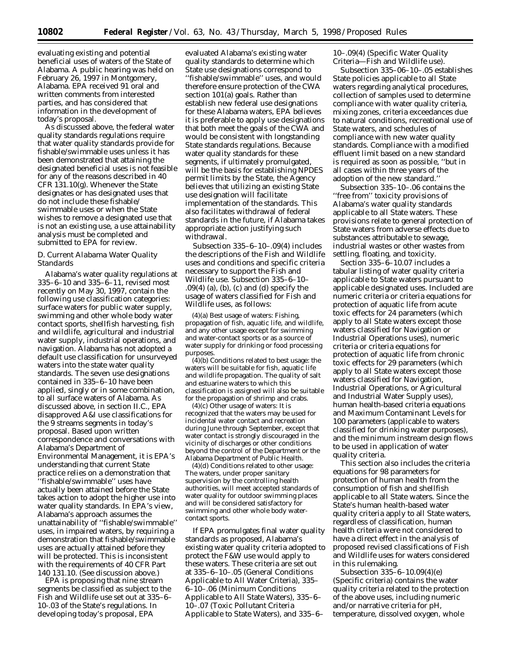evaluating existing and potential beneficial uses of waters of the State of Alabama. A public hearing was held on February 26, 1997 in Montgomery, Alabama. EPA received 91 oral and written comments from interested parties, and has considered that information in the development of today's proposal.

As discussed above, the federal water quality standards regulations require that water quality standards provide for fishable/swimmable uses unless it has been demonstrated that attaining the designated beneficial uses is not feasible for any of the reasons described in 40 CFR 131.10(g). Whenever the State designates or has designated uses that do not include these fishable/ swimmable uses or when the State wishes to remove a designated use that is not an existing use, a use attainability analysis must be completed and submitted to EPA for review.

## *D. Current Alabama Water Quality Standards*

Alabama's water quality regulations at 335–6–10 and 335–6–11, revised most recently on May 30, 1997, contain the following use classification categories: surface waters for public water supply, swimming and other whole body water contact sports, shellfish harvesting, fish and wildlife, agricultural and industrial water supply, industrial operations, and navigation. Alabama has not adopted a default use classification for unsurveyed waters into the state water quality standards. The seven use designations contained in 335–6–10 have been applied, singly or in some combination, to all surface waters of Alabama. As discussed above, in section II.C., EPA disapproved A&I use classifications for the 9 streams segments in today's proposal. Based upon written correspondence and conversations with Alabama's Department of Environmental Management, it is EPA's understanding that current State practice relies on a demonstration that ''fishable/swimmable'' uses have actually been attained before the State takes action to adopt the higher use into water quality standards. In EPA's view, Alabama's approach assumes the unattainability of ''fishable/swimmable'' uses, in impaired waters, by requiring a demonstration that fishable/swimmable uses are actually attained before they will be protected. This is inconsistent with the requirements of 40 CFR Part 140 131.10. (See discussion above.)

EPA is proposing that nine stream segments be classified as subject to the Fish and Wildlife use set out at 335–6– 10-.03 of the State's regulations. In developing today's proposal, EPA

evaluated Alabama's existing water quality standards to determine which State use designations correspond to ''fishable/swimmable'' uses, and would therefore ensure protection of the CWA section 101(a) goals. Rather than establish new federal use designations for these Alabama waters, EPA believes it is preferable to apply use designations that both meet the goals of the CWA and would be consistent with longstanding State standards regulations. Because water quality standards for these segments, if ultimately promulgated, will be the basis for establishing NPDES permit limits by the State, the Agency believes that utilizing an existing State use designation will facilitate implementation of the standards. This also facilitates withdrawal of federal standards in the future, if Alabama takes appropriate action justifying such withdrawal.

Subsection 335–6–10–.09(4) includes the descriptions of the Fish and Wildlife uses and conditions and specific criteria necessary to support the Fish and Wildlife use. Subsection 335–6–10– .09(4) (a), (b), (c) and (d) specify the usage of waters classified for Fish and Wildlife uses, as follows:

(4)(a) Best usage of waters: Fishing, propagation of fish, aquatic life, and wildlife, and any other usage except for swimming and water-contact sports or as a source of water supply for drinking or food processing purposes.

(4)(b) Conditions related to best usage: the waters will be suitable for fish, aquatic life and wildlife propagation. The quality of salt and estuarine waters to which this classification is assigned will also be suitable for the propagation of shrimp and crabs.

(4)(c) Other usage of waters: It is recognized that the waters may be used for incidental water contact and recreation during June through September, except that water contact is strongly discouraged in the vicinity of discharges or other conditions beyond the control of the Department or the Alabama Department of Public Health.

(4)(d) Conditions related to other usage: The waters, under proper sanitary supervision by the controlling health authorities, will meet accepted standards of water quality for outdoor swimming places and will be considered satisfactory for swimming and other whole body watercontact sports.

If EPA promulgates final water quality standards as proposed, Alabama's existing water quality criteria adopted to protect the F&W use would apply to these waters. These criteria are set out at 335–6–10–.05 (General Conditions Applicable to All Water Criteria), 335– 6–10–.06 (Minimum Conditions Applicable to All State Waters), 335–6– 10–.07 (Toxic Pollutant Criteria Applicable to State Waters), and 335–6–

10–.09(4) (Specific Water Quality Criteria—Fish and Wildlife use).

Subsection 335–06–10–.05 establishes State policies applicable to all State waters regarding analytical procedures, collection of samples used to determine compliance with water quality criteria, mixing zones, criteria exceedances due to natural conditions, recreational use of State waters, and schedules of compliance with new water quality standards. Compliance with a modified effluent limit based on a new standard is required as soon as possible, ''but in all cases within three years of the adoption of the new standard.''

Subsection 335–10–.06 contains the ''free from'' toxicity provisions of Alabama's water quality standards applicable to all State waters. These provisions relate to general protection of State waters from adverse effects due to substances attributable to sewage, industrial wastes or other wastes from settling, floating, and toxicity.

Section 335–6–10.07 includes a tabular listing of water quality criteria applicable to State waters pursuant to applicable designated uses. Included are numeric criteria or criteria equations for protection of aquatic life from acute toxic effects for 24 parameters (which apply to all State waters except those waters classified for Navigation or Industrial Operations uses), numeric criteria or criteria equations for protection of aquatic life from chronic toxic effects for 29 parameters (which apply to all State waters except those waters classified for Navigation, Industrial Operations, or Agricultural and Industrial Water Supply uses), human health-based criteria equations and Maximum Contaminant Levels for 100 parameters (applicable to waters classified for drinking water purposes), and the minimum instream design flows to be used in application of water quality criteria.

This section also includes the criteria equations for 98 parameters for protection of human health from the consumption of fish and shellfish applicable to all State waters. Since the State's human health-based water quality criteria apply to all State waters, regardless of classification, human health criteria were not considered to have a direct effect in the analysis of proposed revised classifications of Fish and Wildlife uses for waters considered in this rulemaking.

Subsection 335–6–10.09(4)(e) (Specific criteria) contains the water quality criteria related to the protection of the above uses, including numeric and/or narrative criteria for pH, temperature, dissolved oxygen, whole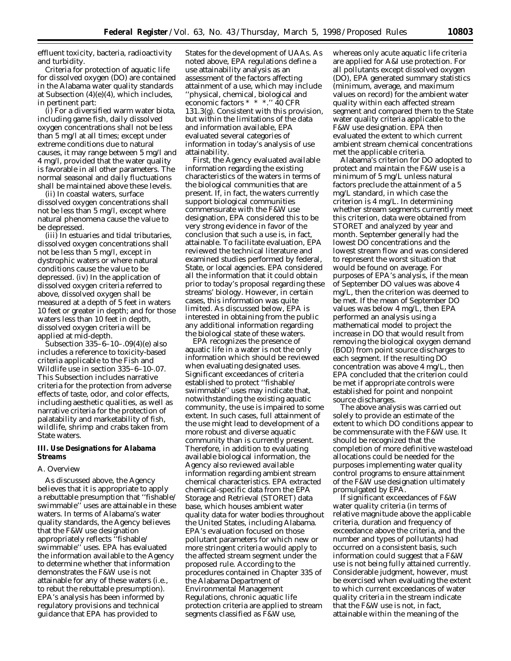effluent toxicity, bacteria, radioactivity and turbidity.

Criteria for protection of aquatic life for dissolved oxygen (DO) are contained in the Alabama water quality standards at Subsection (4)(e)(4), which includes, in pertinent part:

(i) For a diversified warm water biota, including game fish, daily dissolved oxygen concentrations shall not be less than 5 mg/l at all times; except under extreme conditions due to natural causes, it may range between 5 mg/l and 4 mg/l, provided that the water quality is favorable in all other parameters. The normal seasonal and daily fluctuations shall be maintained above these levels.

(ii) In coastal waters, surface dissolved oxygen concentrations shall not be less than 5 mg/l, except where natural phenomena cause the value to be depressed.

(iii) In estuaries and tidal tributaries, dissolved oxygen concentrations shall not be less than 5 mg/l, except in dystrophic waters or where natural conditions cause the value to be depressed. (iv) In the application of dissolved oxygen criteria referred to above, dissolved oxygen shall be measured at a depth of 5 feet in waters 10 feet or greater in depth; and for those waters less than 10 feet in depth, dissolved oxygen criteria will be applied at mid-depth.

Subsection 335–6–10–.09(4)(e) also includes a reference to toxicity-based criteria applicable to the Fish and Wildlife use in section 335–6–10-.07. This Subsection includes narrative criteria for the protection from adverse effects of taste, odor, and color effects, including aesthetic qualities, as well as narrative criteria for the protection of palatability and marketability of fish, wildlife, shrimp and crabs taken from State waters.

## **III. Use Designations for Alabama Streams**

#### *A. Overview*

As discussed above, the Agency believes that it is appropriate to apply a rebuttable presumption that ''fishable/ swimmable'' uses are attainable in these waters. In terms of Alabama's water quality standards, the Agency believes that the F&W use designation appropriately reflects ''fishable/ swimmable'' uses. EPA has evaluated the information available to the Agency to determine whether that information demonstrates the F&W use is not attainable for any of these waters (i.e., to rebut the rebuttable presumption). EPA's analysis has been informed by regulatory provisions and technical guidance that EPA has provided to

States for the development of UAAs. As noted above, EPA regulations define a use attainability analysis as an assessment of the factors affecting attainment of a use, which may include ''physical, chemical, biological and economic factors \* \* \*.'' 40 CFR 131.3(g). Consistent with this provision, but within the limitations of the data and information available, EPA evaluated several categories of information in today's analysis of use attainability.

First, the Agency evaluated available information regarding the existing characteristics of the waters in terms of the biological communities that are present. If, in fact, the waters currently support biological communities commensurate with the F&W use designation, EPA considered this to be very strong evidence in favor of the conclusion that such a use is, in fact, attainable. To facilitate evaluation, EPA reviewed the technical literature and examined studies performed by federal, State, or local agencies. EPA considered all the information that it could obtain prior to today's proposal regarding these streams' biology. However, in certain cases, this information was quite limited. As discussed below, EPA is interested in obtaining from the public any additional information regarding the biological state of these waters.

EPA recognizes the presence of aquatic life in a water is not the only information which should be reviewed when evaluating designated uses. Significant exceedances of criteria established to protect ''fishable/ swimmable'' uses may indicate that, notwithstanding the existing aquatic community, the use is impaired to some extent. In such cases, full attainment of the use might lead to development of a more robust and diverse aquatic community than is currently present. Therefore, in addition to evaluating available biological information, the Agency also reviewed available information regarding ambient stream chemical characteristics. EPA extracted chemical-specific data from the EPA Storage and Retrieval (STORET) data base, which houses ambient water quality data for water bodies throughout the United States, including Alabama. EPA's evaluation focused on those pollutant parameters for which new or more stringent criteria would apply to the affected stream segment under the proposed rule. According to the procedures contained in Chapter 335 of the Alabama Department of Environmental Management Regulations, chronic aquatic life protection criteria are applied to stream segments classified as F&W use,

whereas only acute aquatic life criteria are applied for A&I use protection. For all pollutants except dissolved oxygen (DO), EPA generated summary statistics (minimum, average, and maximum values on record) for the ambient water quality within each affected stream segment and compared them to the State water quality criteria applicable to the F&W use designation. EPA then evaluated the extent to which current ambient stream chemical concentrations met the applicable criteria.

Alabama's criterion for DO adopted to protect and maintain the F&W use is a minimum of 5 mg/L unless natural factors preclude the attainment of a 5 mg/L standard, in which case the criterion is 4 mg/L. In determining whether stream segments currently meet this criterion, data were obtained from STORET and analyzed by year and month. September generally had the lowest DO concentrations and the lowest stream flow and was considered to represent the worst situation that would be found on average. For purposes of EPA's analysis, if the mean of September DO values was above 4 mg/L, then the criterion was deemed to be met. If the mean of September DO values was below 4 mg/L, then EPA performed an analysis using a mathematical model to project the increase in DO that would result from removing the biological oxygen demand (BOD) from point source discharges to each segment. If the resulting DO concentration was above 4 mg/L, then EPA concluded that the criterion could be met if appropriate controls were established for point and nonpoint source discharges.

The above analysis was carried out solely to provide an estimate of the extent to which DO conditions appear to be commensurate with the F&W use. It should be recognized that the completion of more definitive wasteload allocations could be needed for the purposes implementing water quality control programs to ensure attainment of the F&W use designation ultimately promulgated by EPA.

If significant exceedances of F&W water quality criteria (in terms of relative magnitude above the applicable criteria, duration and frequency of exceedance above the criteria, and the number and types of pollutants) had occurred on a consistent basis, such information could suggest that a F&W use is not being fully attained currently. Considerable judgment, however, must be exercised when evaluating the extent to which current exceedances of water quality criteria in the stream indicate that the F&W use is not, in fact, attainable within the meaning of the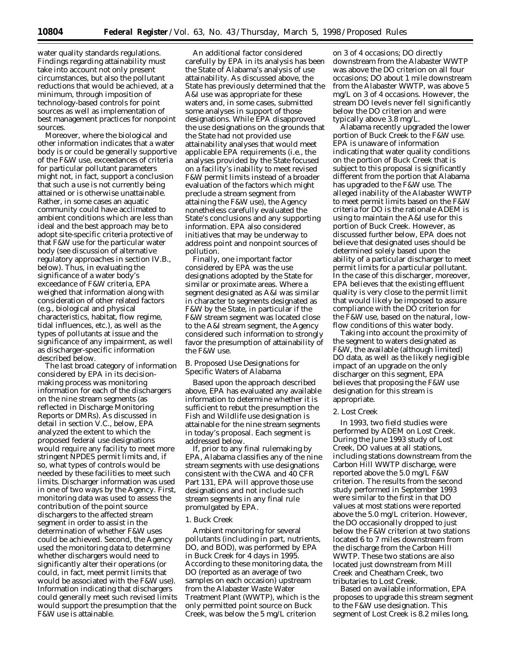water quality standards regulations. Findings regarding attainability must take into account not only present circumstances, but also the pollutant reductions that would be achieved, at a minimum, through imposition of technology-based controls for point sources as well as implementation of best management practices for nonpoint sources.

Moreover, where the biological and other information indicates that a water body is or could be generally supportive of the F&W use, exceedances of criteria for particular pollutant parameters might not, in fact, support a conclusion that such a use is not currently being attained or is otherwise unattainable. Rather, in some cases an aquatic community could have acclimated to ambient conditions which are less than ideal and the best approach may be to adopt site-specific criteria protective of that F&W use for the particular water body (see discussion of alternative regulatory approaches in section IV.B., below). Thus, in evaluating the significance of a water body's exceedance of F&W criteria, EPA weighed that information along with consideration of other related factors (e.g., biological and physical characteristics, habitat, flow regime, tidal influences, etc.), as well as the types of pollutants at issue and the significance of any impairment, as well as discharger-specific information described below.

The last broad category of information considered by EPA in its decisionmaking process was monitoring information for each of the dischargers on the nine stream segments (as reflected in Discharge Monitoring Reports or DMRs). As discussed in detail in section V.C., below, EPA analyzed the extent to which the proposed federal use designations would require any facility to meet more stringent NPDES permit limits and, if so, what types of controls would be needed by these facilities to meet such limits. Discharger information was used in one of two ways by the Agency. First, monitoring data was used to assess the contribution of the point source dischargers to the affected stream segment in order to assist in the determination of whether F&W uses could be achieved. Second, the Agency used the monitoring data to determine whether dischargers would need to significantly alter their operations (or could, in fact, meet permit limits that would be associated with the F&W use). Information indicating that dischargers could generally meet such revised limits would support the presumption that the F&W use is attainable.

An additional factor considered carefully by EPA in its analysis has been the State of Alabama's analysis of use attainability. As discussed above, the State has previously determined that the A&I use was appropriate for these waters and, in some cases, submitted some analyses in support of those designations. While EPA disapproved the use designations on the grounds that the State had not provided use attainability analyses that would meet applicable EPA requirements (i.e., the analyses provided by the State focused on a facility's inability to meet revised F&W permit limits instead of a broader evaluation of the factors which might preclude a stream segment from attaining the F&W use), the Agency nonetheless carefully evaluated the State's conclusions and any supporting information. EPA also considered initiatives that may be underway to address point and nonpoint sources of pollution.

Finally, one important factor considered by EPA was the use designations adopted by the State for similar or proximate areas. Where a segment designated as A&I was similar in character to segments designated as F&W by the State, in particular if the F&W stream segment was located close to the A&I stream segment, the Agency considered such information to strongly favor the presumption of attainability of the F&W use.

#### *B. Proposed Use Designations for Specific Waters of Alabama*

Based upon the approach described above, EPA has evaluated any available information to determine whether it is sufficient to rebut the presumption the Fish and Wildlife use designation is attainable for the nine stream segments in today's proposal. Each segment is addressed below.

If, prior to any final rulemaking by EPA, Alabama classifies any of the nine stream segments with use designations consistent with the CWA and 40 CFR Part 131, EPA will approve those use designations and not include such stream segments in any final rule promulgated by EPA.

#### 1. Buck Creek

Ambient monitoring for several pollutants (including in part, nutrients, DO, and BOD), was performed by EPA in Buck Creek for 4 days in 1995. According to these monitoring data, the DO (reported as an average of two samples on each occasion) upstream from the Alabaster Waste Water Treatment Plant (WWTP), which is the only permitted point source on Buck Creek, was below the 5 mg/L criterion

on 3 of 4 occasions; DO directly downstream from the Alabaster WWTP was above the DO criterion on all four occasions; DO about 1 mile downstream from the Alabaster WWTP, was above 5 mg/L on 3 of 4 occasions. However, the stream DO levels never fell significantly below the DO criterion and were typically above 3.8 mg/L.

Alabama recently upgraded the lower portion of Buck Creek to the F&W use. EPA is unaware of information indicating that water quality conditions on the portion of Buck Creek that is subject to this proposal is significantly different from the portion that Alabama has upgraded to the F&W use. The alleged inability of the Alabaster WWTP to meet permit limits based on the F&W criteria for DO is the rationale ADEM is using to maintain the A&I use for this portion of Buck Creek. However, as discussed further below, EPA does not believe that designated uses should be determined solely based upon the ability of a particular discharger to meet permit limits for a particular pollutant. In the case of this discharger, moreover, EPA believes that the existing effluent quality is very close to the permit limit that would likely be imposed to assure compliance with the DO criterion for the F&W use, based on the natural, lowflow conditions of this water body.

Taking into account the proximity of the segment to waters designated as F&W, the available (although limited) DO data, as well as the likely negligible impact of an upgrade on the only discharger on this segment, EPA believes that proposing the F&W use designation for this stream is appropriate.

#### 2. Lost Creek

In 1993, two field studies were performed by ADEM on Lost Creek. During the June 1993 study of Lost Creek, DO values at all stations, including stations downstream from the Carbon Hill WWTP discharge, were reported above the 5.0 mg/L F&W criterion. The results from the second study performed in September 1993 were similar to the first in that DO values at most stations were reported above the 5.0 mg/L criterion. However, the DO occasionally dropped to just below the F&W criterion at two stations located 6 to 7 miles downstream from the discharge from the Carbon Hill WWTP. These two stations are also located just downstream from Mill Creek and Cheatham Creek, two tributaries to Lost Creek.

Based on available information, EPA proposes to upgrade this stream segment to the F&W use designation. This segment of Lost Creek is 8.2 miles long,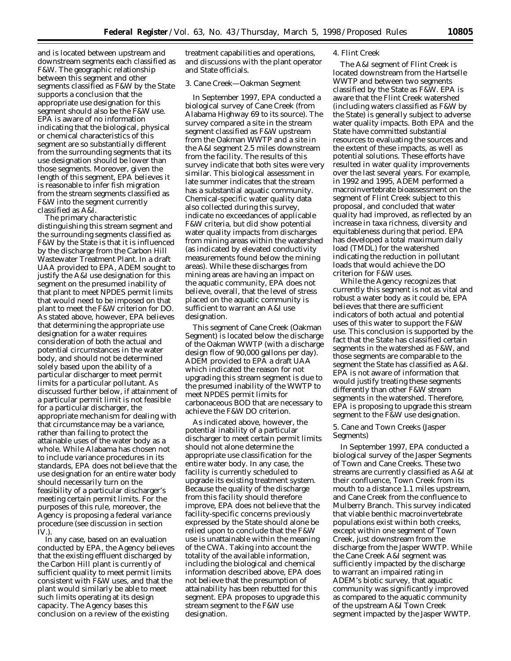and is located between upstream and downstream segments each classified as F&W. The geographic relationship between this segment and other segments classified as F&W by the State supports a conclusion that the appropriate use designation for this segment should also be the F&W use. EPA is aware of no information indicating that the biological, physical or chemical characteristics of this segment are so substantially different from the surrounding segments that its use designation should be lower than those segments. Moreover, given the length of this segment, EPA believes it is reasonable to infer fish migration from the stream segments classified as F&W into the segment currently classified as A&I.

The primary characteristic distinguishing this stream segment and the surrounding segments classified as F&W by the State is that it is influenced by the discharge from the Carbon Hill Wastewater Treatment Plant. In a draft UAA provided to EPA, ADEM sought to justify the A&I use designation for this segment on the presumed inability of that plant to meet NPDES permit limits that would need to be imposed on that plant to meet the F&W criterion for DO. As stated above, however, EPA believes that determining the appropriate use designation for a water requires consideration of both the actual and potential circumstances in the water body, and should not be determined solely based upon the ability of a particular discharger to meet permit limits for a particular pollutant. As discussed further below, if attainment of a particular permit limit is not feasible for a particular discharger, the appropriate mechanism for dealing with that circumstance may be a variance, rather than failing to protect the attainable uses of the water body as a whole. While Alabama has chosen not to include variance procedures in its standards, EPA does not believe that the use designation for an entire water body should necessarily turn on the feasibility of a particular discharger's meeting certain permit limits. For the purposes of this rule, moreover, the Agency is proposing a federal variance procedure (see discussion in section IV.).

In any case, based on an evaluation conducted by EPA, the Agency believes that the existing effluent discharged by the Carbon Hill plant is currently of sufficient quality to meet permit limits consistent with F&W uses, and that the plant would similarly be able to meet such limits operating at its design capacity. The Agency bases this conclusion on a review of the existing

treatment capabilities and operations, and discussions with the plant operator and State officials.

#### 3. Cane Creek—Oakman Segment

In September 1997, EPA conducted a biological survey of Cane Creek (from Alabama Highway 69 to its source). The survey compared a site in the stream segment classified as F&W upstream from the Oakman WWTP and a site in the A&I segment 2.5 miles downstream from the facility. The results of this survey indicate that both sites were very similar. This biological assessment in late summer indicates that the stream has a substantial aquatic community. Chemical-specific water quality data also collected during this survey, indicate no exceedances of applicable F&W criteria, but did show potential water quality impacts from discharges from mining areas within the watershed (as indicated by elevated conductivity measurements found below the mining areas). While these discharges from mining areas are having an impact on the aquatic community, EPA does not believe, overall, that the level of stress placed on the aquatic community is sufficient to warrant an A&I use designation.

This segment of Cane Creek (Oakman Segment) is located below the discharge of the Oakman WWTP (with a discharge design flow of 90,000 gallons per day). ADEM provided to EPA a draft UAA which indicated the reason for not upgrading this stream segment is due to the presumed inability of the WWTP to meet NPDES permit limits for carbonaceous BOD that are necessary to achieve the F&W DO criterion.

As indicated above, however, the potential inability of a particular discharger to meet certain permit limits should not alone determine the appropriate use classification for the entire water body. In any case, the facility is currently scheduled to upgrade its existing treatment system. Because the quality of the discharge from this facility should therefore improve, EPA does not believe that the facility-specific concerns previously expressed by the State should alone be relied upon to conclude that the F&W use is unattainable within the meaning of the CWA. Taking into account the totality of the available information, including the biological and chemical information described above, EPA does not believe that the presumption of attainability has been rebutted for this segment. EPA proposes to upgrade this stream segment to the F&W use designation.

#### 4. Flint Creek

The A&I segment of Flint Creek is located downstream from the Hartselle WWTP and between two segments classified by the State as F&W. EPA is aware that the Flint Creek watershed (including waters classified as F&W by the State) is generally subject to adverse water quality impacts. Both EPA and the State have committed substantial resources to evaluating the sources and the extent of these impacts, as well as potential solutions. These efforts have resulted in water quality improvements over the last several years. For example, in 1992 and 1995, ADEM performed a macroinvertebrate bioassessment on the segment of Flint Creek subject to this proposal, and concluded that water quality had improved, as reflected by an increase in taxa richness, diversity and equitableness during that period. EPA has developed a total maximum daily load (TMDL) for the watershed indicating the reduction in pollutant loads that would achieve the DO criterion for F&W uses.

While the Agency recognizes that currently this segment is not as vital and robust a water body as it could be, EPA believes that there are sufficient indicators of both actual and potential uses of this water to support the F&W use. This conclusion is supported by the fact that the State has classified certain segments in the watershed as F&W, and those segments are comparable to the segment the State has classified as A&I. EPA is not aware of information that would justify treating these segments differently than other F&W stream segments in the watershed. Therefore, EPA is proposing to upgrade this stream segment to the F&W use designation.

#### 5. Cane and Town Creeks (Jasper Segments)

In September 1997, EPA conducted a biological survey of the Jasper Segments of Town and Cane Creeks. These two streams are currently classified as A&I at their confluence, Town Creek from its mouth to a distance 1.1 miles upstream, and Cane Creek from the confluence to Mulberry Branch. This survey indicated that viable benthic macroinvertebrate populations exist within both creeks, except within one segment of Town Creek, just downstream from the discharge from the Jasper WWTP. While the Cane Creek A&I segment was sufficiently impacted by the discharge to warrant an impaired rating in ADEM's biotic survey, that aquatic community was significantly improved as compared to the aquatic community of the upstream A&I Town Creek segment impacted by the Jasper WWTP.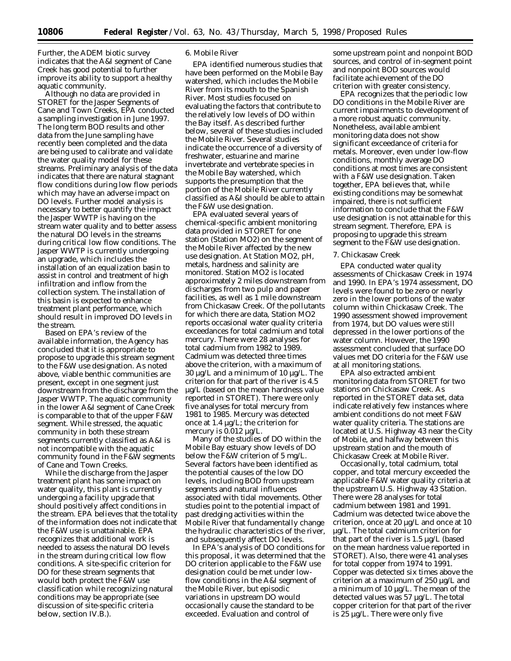Further, the ADEM biotic survey indicates that the A&I segment of Cane Creek has good potential to further improve its ability to support a healthy aquatic community.

Although no data are provided in STORET for the Jasper Segments of Cane and Town Creeks, EPA conducted a sampling investigation in June 1997. The long term BOD results and other data from the June sampling have recently been completed and the data are being used to calibrate and validate the water quality model for these streams. Preliminary analysis of the data indicates that there are natural stagnant flow conditions during low flow periods which may have an adverse impact on DO levels. Further model analysis is necessary to better quantify the impact the Jasper WWTP is having on the stream water quality and to better assess the natural DO levels in the streams during critical low flow conditions. The Jasper WWTP is currently undergoing an upgrade, which includes the installation of an equalization basin to assist in control and treatment of high infiltration and inflow from the collection system. The installation of this basin is expected to enhance treatment plant performance, which should result in improved DO levels in the stream.

Based on EPA's review of the available information, the Agency has concluded that it is appropriate to propose to upgrade this stream segment to the F&W use designation. As noted above, viable benthic communities are present, except in one segment just downstream from the discharge from the Jasper WWTP. The aquatic community in the lower A&I segment of Cane Creek is comparable to that of the upper F&W segment. While stressed, the aquatic community in both these stream segments currently classified as A&I is not incompatible with the aquatic community found in the F&W segments of Cane and Town Creeks.

While the discharge from the Jasper treatment plant has some impact on water quality, this plant is currently undergoing a facility upgrade that should positively affect conditions in the stream. EPA believes that the totality of the information does not indicate that the F&W use is unattainable. EPA recognizes that additional work is needed to assess the natural DO levels in the stream during critical low flow conditions. A site-specific criterion for DO for these stream segments that would both protect the F&W use classification while recognizing natural conditions may be appropriate (see discussion of site-specific criteria below, section IV.B.).

## 6. Mobile River

EPA identified numerous studies that have been performed on the Mobile Bay watershed, which includes the Mobile River from its mouth to the Spanish River. Most studies focused on evaluating the factors that contribute to the relatively low levels of DO within the Bay itself. As described further below, several of these studies included the Mobile River. Several studies indicate the occurrence of a diversity of freshwater, estuarine and marine invertebrate and vertebrate species in the Mobile Bay watershed, which supports the presumption that the portion of the Mobile River currently classified as A&I should be able to attain the F&W use designation.

EPA evaluated several years of chemical-specific ambient monitoring data provided in STORET for one station (Station MO2) on the segment of the Mobile River affected by the new use designation. At Station MO2, pH, metals, hardness and salinity are monitored. Station MO2 is located approximately 2 miles downstream from discharges from two pulp and paper facilities, as well as 1 mile downstream from Chickasaw Creek. Of the pollutants for which there are data, Station MO2 reports occasional water quality criteria exceedances for total cadmium and total mercury. There were 28 analyses for total cadmium from 1982 to 1989. Cadmium was detected three times above the criterion, with a maximum of 30 µg/L and a minimum of 10 µg/L. The criterion for that part of the river is 4.5 µg/L (based on the mean hardness value reported in STORET). There were only five analyses for total mercury from 1981 to 1985. Mercury was detected once at 1.4 µg/L; the criterion for mercury is  $0.012 \mu g/L$ .

Many of the studies of DO within the Mobile Bay estuary show levels of DO below the F&W criterion of 5 mg/L. Several factors have been identified as the potential causes of the low DO levels, including BOD from upstream segments and natural influences associated with tidal movements. Other studies point to the potential impact of past dredging activities within the Mobile River that fundamentally change the hydraulic characteristics of the river, and subsequently affect DO levels.

In EPA's analysis of DO conditions for this proposal, it was determined that the DO criterion applicable to the F&W use designation could be met under lowflow conditions in the A&I segment of the Mobile River, but episodic variations in upstream DO would occasionally cause the standard to be exceeded. Evaluation and control of

some upstream point and nonpoint BOD sources, and control of in-segment point and nonpoint BOD sources would facilitate achievement of the DO criterion with greater consistency.

EPA recognizes that the periodic low DO conditions in the Mobile River are current impairments to development of a more robust aquatic community. Nonetheless, available ambient monitoring data does not show significant exceedance of criteria for metals. Moreover, even under low-flow conditions, monthly average DO conditions at most times are consistent with a F&W use designation. Taken together, EPA believes that, while existing conditions may be somewhat impaired, there is not sufficient information to conclude that the F&W use designation is not attainable for this stream segment. Therefore, EPA is proposing to upgrade this stream segment to the F&W use designation.

#### 7. Chickasaw Creek

EPA conducted water quality assessments of Chickasaw Creek in 1974 and 1990. In EPA's 1974 assessment, DO levels were found to be zero or nearly zero in the lower portions of the water column within Chickasaw Creek. The 1990 assessment showed improvement from 1974, but DO values were still depressed in the lower portions of the water column. However, the 1990 assessment concluded that surface DO values met DO criteria for the F&W use at all monitoring stations.

EPA also extracted ambient monitoring data from STORET for two stations on Chickasaw Creek. As reported in the STORET data set, data indicate relatively few instances where ambient conditions do not meet F&W water quality criteria. The stations are located at U.S. Highway 43 near the City of Mobile, and halfway between this upstream station and the mouth of Chickasaw Creek at Mobile River.

Occasionally, total cadmium, total copper, and total mercury exceeded the applicable F&W water quality criteria at the upstream U.S. Highway 43 Station. There were 28 analyses for total cadmium between 1981 and 1991. Cadmium was detected twice above the criterion, once at 20 µg/L and once at 10 µg/L. The total cadmium criterion for that part of the river is 1.5 µg/L (based on the mean hardness value reported in STORET). Also, there were 41 analyses for total copper from 1974 to 1991. Copper was detected six times above the criterion at a maximum of 250 µg/L and a minimum of 10 µg/L. The mean of the detected values was 57 µg/L. The total copper criterion for that part of the river is 25 µg/L. There were only five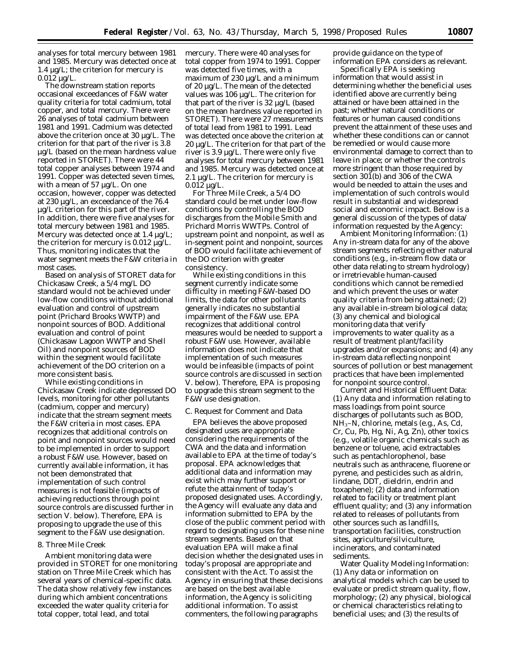analyses for total mercury between 1981 and 1985. Mercury was detected once at  $1.4 \mu g/L$ ; the criterion for mercury is  $0.012 \mu g/L$ .

The downstream station reports occasional exceedances of F&W water quality criteria for total cadmium, total copper, and total mercury. There were 26 analyses of total cadmium between 1981 and 1991. Cadmium was detected above the criterion once at 30 µg/L. The criterion for that part of the river is 3.8 µg/L (based on the mean hardness value reported in STORET). There were 44 total copper analyses between 1974 and 1991. Copper was detected seven times, with a mean of 57 µg/L. On one occasion, however, copper was detected at 230 µg/L, an exceedance of the 76.4 µg/L criterion for this part of the river. In addition, there were five analyses for total mercury between 1981 and 1985. Mercury was detected once at 1.4 µg/L; the criterion for mercury is 0.012 µg/L. Thus, monitoring indicates that the water segment meets the F&W criteria in most cases.

Based on analysis of STORET data for Chickasaw Creek, a 5/4 mg/L DO standard would not be achieved under low-flow conditions without additional evaluation and control of upstream point (Prichard Brooks WWTP) and nonpoint sources of BOD. Additional evaluation and control of point (Chickasaw Lagoon WWTP and Shell Oil) and nonpoint sources of BOD within the segment would facilitate achievement of the DO criterion on a more consistent basis.

While existing conditions in Chickasaw Creek indicate depressed DO levels, monitoring for other pollutants (cadmium, copper and mercury) indicate that the stream segment meets the F&W criteria in most cases. EPA recognizes that additional controls on point and nonpoint sources would need to be implemented in order to support a robust F&W use. However, based on currently available information, it has not been demonstrated that implementation of such control measures is not feasible (impacts of achieving reductions through point source controls are discussed further in section V. below). Therefore, EPA is proposing to upgrade the use of this segment to the F&W use designation.

#### 8. Three Mile Creek

Ambient monitoring data were provided in STORET for one monitoring station on Three Mile Creek which has several years of chemical-specific data. The data show relatively few instances during which ambient concentrations exceeded the water quality criteria for total copper, total lead, and total

mercury. There were 40 analyses for total copper from 1974 to 1991. Copper was detected five times, with a maximum of 230 µg/L and a minimum of 20 µg/L. The mean of the detected values was 106 µg/L. The criterion for that part of the river is 32 µg/L (based on the mean hardness value reported in STORET). There were 27 measurements of total lead from 1981 to 1991. Lead was detected once above the criterion at 20 µg/L. The criterion for that part of the river is 3.9 µg/L. There were only five analyses for total mercury between 1981 and 1985. Mercury was detected once at 2.1 µg/L. The criterion for mercury is 0.012 µg/L.

For Three Mile Creek, a 5/4 DO standard could be met under low-flow conditions by controlling the BOD discharges from the Mobile Smith and Prichard Morris WWTPs. Control of upstream point and nonpoint, as well as in-segment point and nonpoint, sources of BOD would facilitate achievement of the DO criterion with greater consistency.

While existing conditions in this segment currently indicate some difficulty in meeting F&W-based DO limits, the data for other pollutants generally indicates no substantial impairment of the F&W use. EPA recognizes that additional control measures would be needed to support a robust F&W use. However, available information does not indicate that implementation of such measures would be infeasible (impacts of point source controls are discussed in section V. below). Therefore, EPA is proposing to upgrade this stream segment to the F&W use designation.

#### *C. Request for Comment and Data*

EPA believes the above proposed designated uses are appropriate considering the requirements of the CWA and the data and information available to EPA at the time of today's proposal. EPA acknowledges that additional data and information may exist which may further support or refute the attainment of today's proposed designated uses. Accordingly, the Agency will evaluate any data and information submitted to EPA by the close of the public comment period with regard to designating uses for these nine stream segments. Based on that evaluation EPA will make a final decision whether the designated uses in today's proposal are appropriate and consistent with the Act. To assist the Agency in ensuring that these decisions are based on the best available information, the Agency is soliciting additional information. To assist commenters, the following paragraphs

provide guidance on the type of information EPA considers as relevant.

Specifically EPA is seeking information that would assist in determining whether the beneficial uses identified above are currently being attained or have been attained in the past; whether natural conditions or features or human caused conditions prevent the attainment of these uses and whether these conditions can or cannot be remedied or would cause more environmental damage to correct than to leave in place; or whether the controls more stringent than those required by section 301(b) and 306 of the CWA would be needed to attain the uses and implementation of such controls would result in substantial and widespread social and economic impact. Below is a general discussion of the types of data/ information requested by the Agency:

Ambient Monitoring Information: (1) Any in-stream data for any of the above stream segments reflecting either natural conditions (e.g., in-stream flow data or other data relating to stream hydrology) or irretrievable human-caused conditions which cannot be remedied and which prevent the uses or water quality criteria from being attained; (2) any available in-stream biological data; (3) any chemical and biological monitoring data that verify improvements to water quality as a result of treatment plant/facility upgrades and/or expansions; and (4) any in-stream data reflecting nonpoint sources of pollution or best management practices that have been implemented for nonpoint source control.

Current and Historical Effluent Data: (1) Any data and information relating to mass loadings from point source discharges of pollutants such as BOD, NH3–N, chlorine, metals (e.g., As, Cd, Cr, Cu, Pb, Hg, Ni, Ag, Zn), other toxics (e.g., volatile organic chemicals such as benzene or toluene, acid extractables such as pentachlorophenol, base neutrals such as anthracene, fluorene or pyrene, and pesticides such as aldrin, lindane, DDT, dieldrin, endrin and toxaphene); (2) data and information related to facility or treatment plant effluent quality; and (3) any information related to releases of pollutants from other sources such as landfills, transportation facilities, construction sites, agriculture/silviculture, incinerators, and contaminated sediments.

Water Quality Modeling Information: (1) Any data or information on analytical models which can be used to evaluate or predict stream quality, flow, morphology; (2) any physical, biological or chemical characteristics relating to beneficial uses; and (3) the results of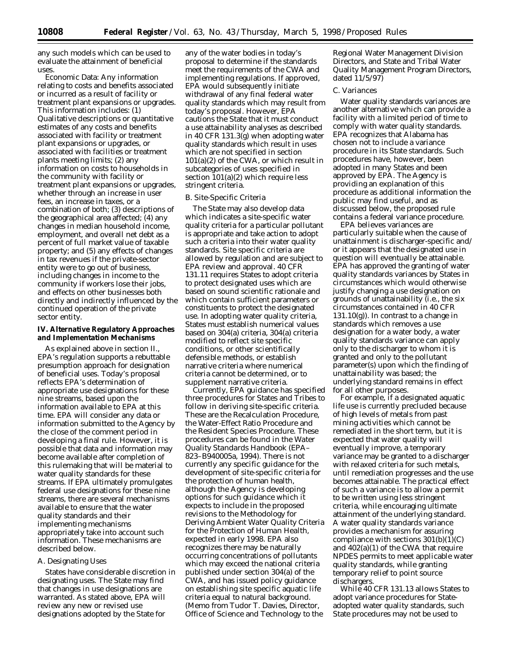any such models which can be used to evaluate the attainment of beneficial uses.

Economic Data: Any information relating to costs and benefits associated or incurred as a result of facility or treatment plant expansions or upgrades. This information includes: (1) Qualitative descriptions or quantitative estimates of any costs and benefits associated with facility or treatment plant expansions or upgrades, or associated with facilities or treatment plants meeting limits; (2) any information on costs to households in the community with facility or treatment plant expansions or upgrades, whether through an increase in user fees, an increase in taxes, or a combination of both; (3) descriptions of the geographical area affected; (4) any changes in median household income, employment, and overall net debt as a percent of full market value of taxable property; and (5) any effects of changes in tax revenues if the private-sector entity were to go out of business, including changes in income to the community if workers lose their jobs, and effects on other businesses both directly and indirectly influenced by the continued operation of the private sector entity.

# **IV. Alternative Regulatory Approaches and Implementation Mechanisms**

As explained above in section II., EPA's regulation supports a rebuttable presumption approach for designation of beneficial uses. Today's proposal reflects EPA's determination of appropriate use designations for these nine streams, based upon the information available to EPA at this time. EPA will consider any data or information submitted to the Agency by the close of the comment period in developing a final rule. However, it is possible that data and information may become available after completion of this rulemaking that will be material to water quality standards for these streams. If EPA ultimately promulgates federal use designations for these nine streams, there are several mechanisms available to ensure that the water quality standards and their implementing mechanisms appropriately take into account such information. These mechanisms are described below.

# *A. Designating Uses*

States have considerable discretion in designating uses. The State may find that changes in use designations are warranted. As stated above, EPA will review any new or revised use designations adopted by the State for

any of the water bodies in today's proposal to determine if the standards meet the requirements of the CWA and implementing regulations. If approved, EPA would subsequently initiate withdrawal of any final federal water quality standards which may result from today's proposal. However, EPA cautions the State that it must conduct a use attainability analyses as described in 40 CFR 131.3(g) when adopting water quality standards which result in uses which are not specified in section 101(a)(2) of the CWA, or which result in subcategories of uses specified in section 101(a)(2) which require less stringent criteria.

## *B. Site-Specific Criteria*

The State may also develop data which indicates a site-specific water quality criteria for a particular pollutant is appropriate and take action to adopt such a criteria into their water quality standards. Site specific criteria are allowed by regulation and are subject to EPA review and approval. 40 CFR 131.11 requires States to adopt criteria to protect designated uses which are based on sound scientific rationale and which contain sufficient parameters or constituents to protect the designated use. In adopting water quality criteria, States must establish numerical values based on 304(a) criteria, 304(a) criteria modified to reflect site specific conditions, or other scientifically defensible methods, or establish narrative criteria where numerical criteria cannot be determined, or to supplement narrative criteria.

Currently, EPA guidance has specified three procedures for States and Tribes to follow in deriving site-specific criteria. These are the Recalculation Procedure, the Water-Effect Ratio Procedure and the Resident Species Procedure. These procedures can be found in the *Water Quality Standards Handbook* (EPA– 823–B940005a, 1994). There is not currently any specific guidance for the development of site-specific criteria for the protection of human health, although the Agency is developing options for such guidance which it expects to include in the proposed revisions to the *Methodology for Deriving Ambient Water Quality Criteria for the Protection of Human Health,* expected in early 1998. EPA also recognizes there may be naturally occurring concentrations of pollutants which may exceed the national criteria published under section 304(a) of the CWA, and has issued policy guidance on establishing site specific aquatic life criteria equal to natural background. (Memo from Tudor T. Davies, Director, Office of Science and Technology to the

Regional Water Management Division Directors, and State and Tribal Water Quality Management Program Directors, dated 11/5/97)

#### *C. Variances*

Water quality standards variances are another alternative which can provide a facility with a limited period of time to comply with water quality standards. EPA recognizes that Alabama has chosen not to include a variance procedure in its State standards. Such procedures have, however, been adopted in many States and been approved by EPA. The Agency is providing an explanation of this procedure as additional information the public may find useful, and as discussed below, the proposed rule contains a federal variance procedure.

EPA believes variances are particularly suitable when the cause of unattainment is discharger-specific and/ or it appears that the designated use in question will eventually be attainable. EPA has approved the granting of water quality standards variances by States in circumstances which would otherwise justify changing a use designation on grounds of unattainability (i.e., the six circumstances contained in 40 CFR 131.10(g)). In contrast to a change in standards which removes a use designation for a water body, a water quality standards variance can apply only to the discharger to whom it is granted and only to the pollutant parameter(s) upon which the finding of unattainability was based; the underlying standard remains in effect for all other purposes.

For example, if a designated aquatic life use is currently precluded because of high levels of metals from past mining activities which cannot be remediated in the short term, but it is expected that water quality will eventually improve, a temporary variance may be granted to a discharger with relaxed criteria for such metals, until remediation progresses and the use becomes attainable. The practical effect of such a variance is to allow a permit to be written using less stringent criteria, while encouraging ultimate attainment of the underlying standard. A water quality standards variance provides a mechanism for assuring compliance with sections  $301(b)(1)(C)$ and 402(a)(1) of the CWA that require NPDES permits to meet applicable water quality standards, while granting temporary relief to point source dischargers.

While 40 CFR 131.13 allows States to adopt variance procedures for Stateadopted water quality standards, such State procedures may not be used to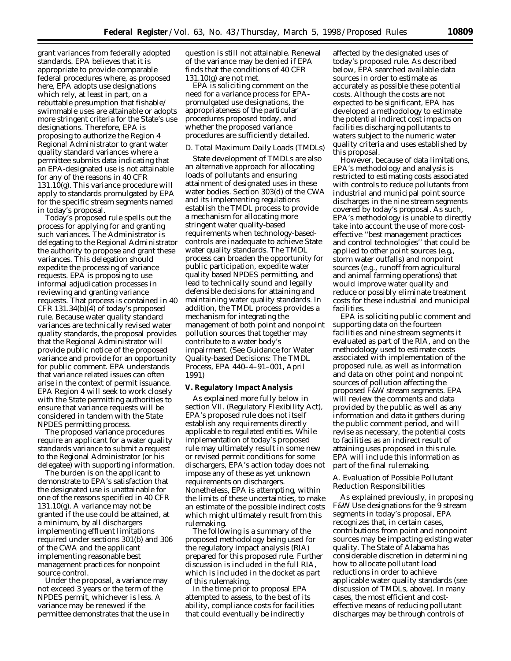grant variances from federally adopted standards. EPA believes that it is appropriate to provide comparable federal procedures where, as proposed here, EPA adopts use designations which rely, at least in part, on a rebuttable presumption that fishable/ swimmable uses are attainable or adopts more stringent criteria for the State's use designations. Therefore, EPA is proposing to authorize the Region 4 Regional Administrator to grant water quality standard variances where a permittee submits data indicating that an EPA-designated use is not attainable for any of the reasons in 40 CFR 131.10(g). This variance procedure will apply to standards promulgated by EPA for the specific stream segments named in today's proposal.

Today's proposed rule spells out the process for applying for and granting such variances. The Administrator is delegating to the Regional Administrator the authority to propose and grant these variances. This delegation should expedite the processing of variance requests. EPA is proposing to use informal adjudication processes in reviewing and granting variance requests. That process is contained in 40 CFR 131.34(b)(4) of today's proposed rule. Because water quality standard variances are technically revised water quality standards, the proposal provides that the Regional Administrator will provide public notice of the proposed variance and provide for an opportunity for public comment. EPA understands that variance related issues can often arise in the context of permit issuance. EPA Region 4 will seek to work closely with the State permitting authorities to ensure that variance requests will be considered in tandem with the State NPDES permitting process.

The proposed variance procedures require an applicant for a water quality standards variance to submit a request to the Regional Administrator (or his delegatee) with supporting information.

The burden is on the applicant to demonstrate to EPA's satisfaction that the designated use is unattainable for one of the reasons specified in 40 CFR 131.10(g). A variance may not be granted if the use could be attained, at a minimum, by all dischargers implementing effluent limitations required under sections 301(b) and 306 of the CWA and the applicant implementing reasonable best management practices for nonpoint source control.

Under the proposal, a variance may not exceed 3 years or the term of the NPDES permit, whichever is less. A variance may be renewed if the permittee demonstrates that the use in question is still not attainable. Renewal of the variance may be denied if EPA finds that the conditions of 40 CFR 131.10(g) are not met.

EPA is soliciting comment on the need for a variance process for EPApromulgated use designations, the appropriateness of the particular procedures proposed today, and whether the proposed variance procedures are sufficiently detailed.

#### *D. Total Maximum Daily Loads (TMDLs)*

State development of TMDLs are also an alternative approach for allocating loads of pollutants and ensuring attainment of designated uses in these water bodies. Section 303(d) of the CWA and its implementing regulations establish the TMDL process to provide a mechanism for allocating more stringent water quality-based requirements when technology-basedcontrols are inadequate to achieve State water quality standards. The TMDL process can broaden the opportunity for public participation, expedite water quality based NPDES permitting, and lead to technically sound and legally defensible decisions for attaining and maintaining water quality standards. In addition, the TMDL process provides a mechanism for integrating the management of both point and nonpoint pollution sources that together may contribute to a water body's impairment. (See Guidance for Water Quality-based Decisions: The TMDL Process, EPA 440–4–91–001, April 1991)

#### **V. Regulatory Impact Analysis**

As explained more fully below in section VII. (Regulatory Flexibility Act), EPA's proposed rule does not itself establish any requirements directly applicable to regulated entities. While implementation of today's proposed rule may ultimately result in some new or revised permit conditions for some dischargers, EPA's action today does not impose any of these as yet unknown requirements on dischargers. Nonetheless, EPA is attempting, within the limits of these uncertainties, to make an estimate of the possible indirect costs which might ultimately result from this rulemaking.

The following is a summary of the proposed methodology being used for the regulatory impact analysis (RIA) prepared for this proposed rule. Further discussion is included in the full RIA, which is included in the docket as part of this rulemaking.

In the time prior to proposal EPA attempted to assess, to the best of its ability, compliance costs for facilities that could eventually be indirectly

affected by the designated uses of today's proposed rule. As described below, EPA searched available data sources in order to estimate as accurately as possible these potential costs. Although the costs are not expected to be significant, EPA has developed a methodology to estimate the potential indirect cost impacts on facilities discharging pollutants to waters subject to the numeric water quality criteria and uses established by this proposal.

However, because of data limitations, EPA's methodology and analysis is restricted to estimating costs associated with controls to reduce pollutants from industrial and municipal point source discharges in the nine stream segments covered by today's proposal. As such, EPA's methodology is unable to directly take into account the use of more costeffective ''best management practices and control technologies'' that could be applied to other point sources (e.g., storm water outfalls) and nonpoint sources (e.g., runoff from agricultural and animal farming operations) that would improve water quality and reduce or possibly eliminate treatment costs for these industrial and municipal facilities.

EPA is soliciting public comment and supporting data on the fourteen facilities and nine stream segments it evaluated as part of the RIA, and on the methodology used to estimate costs associated with implementation of the proposed rule, as well as information and data on other point and nonpoint sources of pollution affecting the proposed F&W stream segments. EPA will review the comments and data provided by the public as well as any information and data it gathers during the public comment period, and will revise as necessary, the potential costs to facilities as an indirect result of attaining uses proposed in this rule. EPA will include this information as part of the final rulemaking.

#### *A. Evaluation of Possible Pollutant Reduction Responsibilities*

As explained previously, in proposing F&W Use designations for the 9 stream segments in today's proposal, EPA recognizes that, in certain cases, contributions from point and nonpoint sources may be impacting existing water quality. The State of Alabama has considerable discretion in determining how to allocate pollutant load reductions in order to achieve applicable water quality standards (see discussion of TMDLs, above). In many cases, the most efficient and costeffective means of reducing pollutant discharges may be through controls of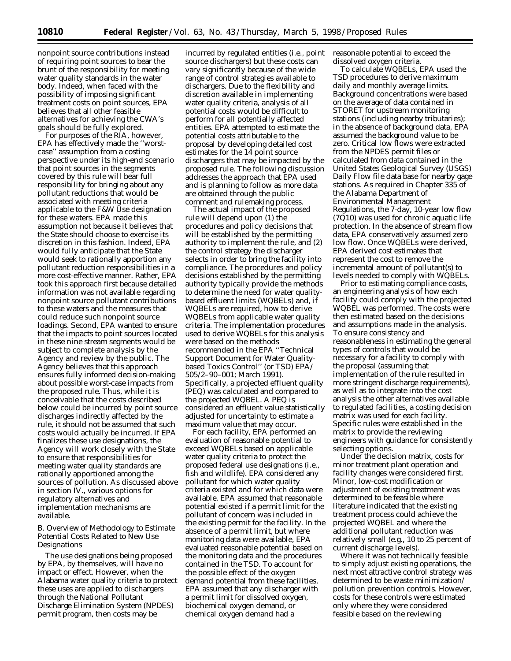nonpoint source contributions instead of requiring point sources to bear the brunt of the responsibility for meeting water quality standards in the water body. Indeed, when faced with the possibility of imposing significant treatment costs on point sources, EPA believes that all other feasible alternatives for achieving the CWA's goals should be fully explored.

For purposes of the RIA, however, EPA has effectively made the ''worstcase'' assumption from a costing perspective under its high-end scenario that point sources in the segments covered by this rule will bear full responsibility for bringing about any pollutant reductions that would be associated with meeting criteria applicable to the F&W Use designation for these waters. EPA made this assumption not because it believes that the State should choose to exercise its discretion in this fashion. Indeed, EPA would fully anticipate that the State would seek to rationally apportion any pollutant reduction responsibilities in a more cost-effective manner. Rather, EPA took this approach first because detailed information was not available regarding nonpoint source pollutant contributions to these waters and the measures that could reduce such nonpoint source loadings. Second, EPA wanted to ensure that the impacts to point sources located in these nine stream segments would be subject to complete analysis by the Agency and review by the public. The Agency believes that this approach ensures fully informed decision-making about possible worst-case impacts from the proposed rule. Thus, while it is conceivable that the costs described below could be incurred by point source discharges indirectly affected by the rule, it should not be assumed that such costs would actually be incurred. If EPA finalizes these use designations, the Agency will work closely with the State to ensure that responsibilities for meeting water quality standards are rationally apportioned among the sources of pollution. As discussed above in section IV., various options for regulatory alternatives and implementation mechanisms are available.

## *B. Overview of Methodology to Estimate Potential Costs Related to New Use Designations*

The use designations being proposed by EPA, by themselves, will have no impact or effect. However, when the Alabama water quality criteria to protect these uses are applied to dischargers through the National Pollutant Discharge Elimination System (NPDES) permit program, then costs may be

incurred by regulated entities (i.e., point source dischargers) but these costs can vary significantly because of the wide range of control strategies available to dischargers. Due to the flexibility and discretion available in implementing water quality criteria, analysis of all potential costs would be difficult to perform for all potentially affected entities. EPA attempted to estimate the potential costs attributable to the proposal by developing detailed cost estimates for the 14 point source dischargers that may be impacted by the proposed rule. The following discussion addresses the approach that EPA used and is planning to follow as more data are obtained through the public comment and rulemaking process.

The actual impact of the proposed rule will depend upon (1) the procedures and policy decisions that will be established by the permitting authority to implement the rule, and (2) the control strategy the discharger selects in order to bring the facility into compliance. The procedures and policy decisions established by the permitting authority typically provide the methods to determine the need for water qualitybased effluent limits (WQBELs) and, if WQBELs are required, how to derive WQBELs from applicable water quality criteria. The implementation procedures used to derive WQBELs for this analysis were based on the methods recommended in the EPA ''Technical Support Document for Water Qualitybased Toxics Control'' (or TSD) EPA/ 505/2–90–001; March 1991). Specifically, a projected effluent quality (PEQ) was calculated and compared to the projected WQBEL. A PEQ is considered an effluent value statistically adjusted for uncertainty to estimate a maximum value that may occur.

For each facility, EPA performed an evaluation of reasonable potential to exceed WQBELs based on applicable water quality criteria to protect the proposed federal use designations (i.e., fish and wildlife). EPA considered any pollutant for which water quality criteria existed and for which data were available. EPA assumed that reasonable potential existed if a permit limit for the pollutant of concern was included in the existing permit for the facility. In the absence of a permit limit, but where monitoring data were available, EPA evaluated reasonable potential based on the monitoring data and the procedures contained in the TSD. To account for the possible effect of the oxygen demand potential from these facilities, EPA assumed that any discharger with a permit limit for dissolved oxygen, biochemical oxygen demand, or chemical oxygen demand had a

reasonable potential to exceed the dissolved oxygen criteria.

To calculate WQBELs, EPA used the TSD procedures to derive maximum daily and monthly average limits. Background concentrations were based on the average of data contained in STORET for upstream monitoring stations (including nearby tributaries); in the absence of background data, EPA assumed the background value to be zero. Critical low flows were extracted from the NPDES permit files or calculated from data contained in the United States Geological Survey (USGS) Daily Flow file data base for nearby gage stations. As required in Chapter 335 of the Alabama Department of Environmental Management Regulations, the 7-day, 10-year low flow (7Q10) was used for chronic aquatic life protection. In the absence of stream flow data, EPA conservatively assumed zero low flow. Once WQBELs were derived, EPA derived cost estimates that represent the cost to remove the incremental amount of pollutant(s) to levels needed to comply with WQBELs.

Prior to estimating compliance costs, an engineering analysis of how each facility could comply with the projected WQBEL was performed. The costs were then estimated based on the decisions and assumptions made in the analysis. To ensure consistency and reasonableness in estimating the general types of controls that would be necessary for a facility to comply with the proposal (assuming that implementation of the rule resulted in more stringent discharge requirements), as well as to integrate into the cost analysis the other alternatives available to regulated facilities, a costing decision matrix was used for each facility. Specific rules were established in the matrix to provide the reviewing engineers with guidance for consistently selecting options.

Under the decision matrix, costs for minor treatment plant operation and facility changes were considered first. Minor, low-cost modification or adjustment of existing treatment was determined to be feasible where literature indicated that the existing treatment process could achieve the projected WQBEL and where the additional pollutant reduction was relatively small (e.g., 10 to 25 percent of current discharge levels).

Where it was not technically feasible to simply adjust existing operations, the next most attractive control strategy was determined to be waste minimization/ pollution prevention controls. However, costs for these controls were estimated only where they were considered feasible based on the reviewing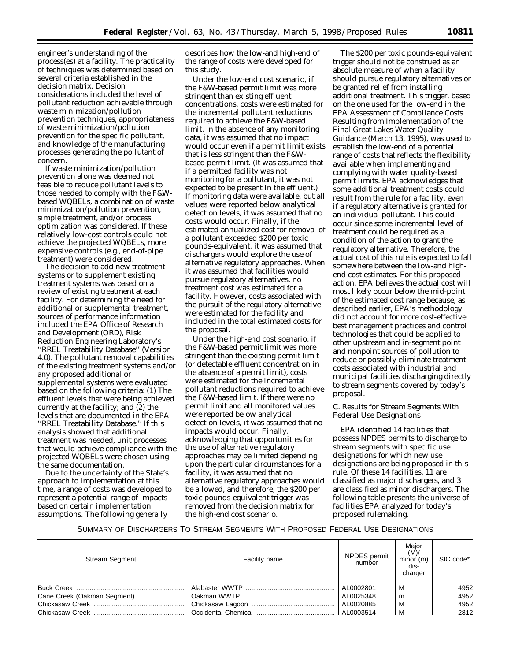engineer's understanding of the process(es) at a facility. The practicality of techniques was determined based on several criteria established in the decision matrix. Decision considerations included the level of pollutant reduction achievable through waste minimization/pollution prevention techniques, appropriateness of waste minimization/pollution prevention for the specific pollutant, and knowledge of the manufacturing processes generating the pollutant of concern.

If waste minimization/pollution prevention alone was deemed not feasible to reduce pollutant levels to those needed to comply with the F&Wbased WQBELs, a combination of waste minimization/pollution prevention, simple treatment, and/or process optimization was considered. If these relatively low-cost controls could not achieve the projected WQBELs, more expensive controls (e.g., end-of-pipe treatment) were considered.

The decision to add new treatment systems or to supplement existing treatment systems was based on a review of existing treatment at each facility. For determining the need for additional or supplemental treatment, sources of performance information included the EPA Office of Research and Development (ORD), Risk Reduction Engineering Laboratory's ''RREL Treatability Database'' (Version 4.0). The pollutant removal capabilities of the existing treatment systems and/or any proposed additional or supplemental systems were evaluated based on the following criteria: (1) The effluent levels that were being achieved currently at the facility; and (2) the levels that are documented in the EPA ''RREL Treatability Database.'' If this analysis showed that additional treatment was needed, unit processes that would achieve compliance with the projected WQBELs were chosen using the same documentation.

Due to the uncertainty of the State's approach to implementation at this time, a range of costs was developed to represent a potential range of impacts based on certain implementation assumptions. The following generally

describes how the low-and high-end of the range of costs were developed for this study.

Under the low-end cost scenario, if the F&W-based permit limit was more stringent than existing effluent concentrations, costs were estimated for the incremental pollutant reductions required to achieve the F&W-based limit. In the absence of any monitoring data, it was assumed that no impact would occur even if a permit limit exists that is less stringent than the F&Wbased permit limit. (It was assumed that if a permitted facility was not monitoring for a pollutant, it was not expected to be present in the effluent.) If monitoring data were available, but all values were reported below analytical detection levels, it was assumed that no costs would occur. Finally, if the estimated annualized cost for removal of a pollutant exceeded \$200 per toxic pounds-equivalent, it was assumed that dischargers would explore the use of alternative regulatory approaches. When it was assumed that facilities would pursue regulatory alternatives, no treatment cost was estimated for a facility. However, costs associated with the pursuit of the regulatory alternative were estimated for the facility and included in the total estimated costs for the proposal.

Under the high-end cost scenario, if the F&W-based permit limit was more stringent than the existing permit limit (or detectable effluent concentration in the absence of a permit limit), costs were estimated for the incremental pollutant reductions required to achieve the F&W-based limit. If there were no permit limit and all monitored values were reported below analytical detection levels, it was assumed that no impacts would occur. Finally, acknowledging that opportunities for the use of alternative regulatory approaches may be limited depending upon the particular circumstances for a facility, it was assumed that no alternative regulatory approaches would be allowed, and therefore, the \$200 per toxic pounds-equivalent trigger was removed from the decision matrix for the high-end cost scenario.

The \$200 per toxic pounds-equivalent trigger should not be construed as an absolute measure of when a facility should pursue regulatory alternatives or be granted relief from installing additional treatment. This trigger, based on the one used for the low-end in the EPA Assessment of Compliance Costs Resulting from Implementation of the Final Great Lakes Water Quality Guidance (March 13, 1995), was used to establish the low-end of a potential range of costs that reflects the flexibility available when implementing and complying with water quality-based permit limits. EPA acknowledges that some additional treatment costs could result from the rule for a facility, even if a regulatory alternative is granted for an individual pollutant. This could occur since some incremental level of treatment could be required as a condition of the action to grant the regulatory alternative. Therefore, the actual cost of this rule is expected to fall somewhere between the low-and highend cost estimates. For this proposed action, EPA believes the actual cost will most likely occur below the mid-point of the estimated cost range because, as described earlier, EPA's methodology did not account for more cost-effective best management practices and control technologies that could be applied to other upstream and in-segment point and nonpoint sources of pollution to reduce or possibly eliminate treatment costs associated with industrial and municipal facilities discharging directly to stream segments covered by today's proposal.

# *C. Results for Stream Segments With Federal Use Designations*

EPA identified 14 facilities that possess NPDES permits to discharge to stream segments with specific use designations for which new use designations are being proposed in this rule. Of these 14 facilities, 11 are classified as major dischargers, and 3 are classified as minor dischargers. The following table presents the universe of facilities EPA analyzed for today's proposed rulemaking.

SUMMARY OF DISCHARGERS TO STREAM SEGMENTS WITH PROPOSED FEDERAL USE DESIGNATIONS

| <b>Stream Segment</b> | Facility name | NPDES permit<br>number | Maior<br>(M)/<br>minor (m)<br>dis-<br>charger | SIC code* |
|-----------------------|---------------|------------------------|-----------------------------------------------|-----------|
|                       |               | AL0002801              | M                                             | 4952      |
|                       |               | AL0025348              | m                                             | 4952      |
|                       |               |                        | M                                             | 4952      |
|                       |               |                        | M                                             | 2812      |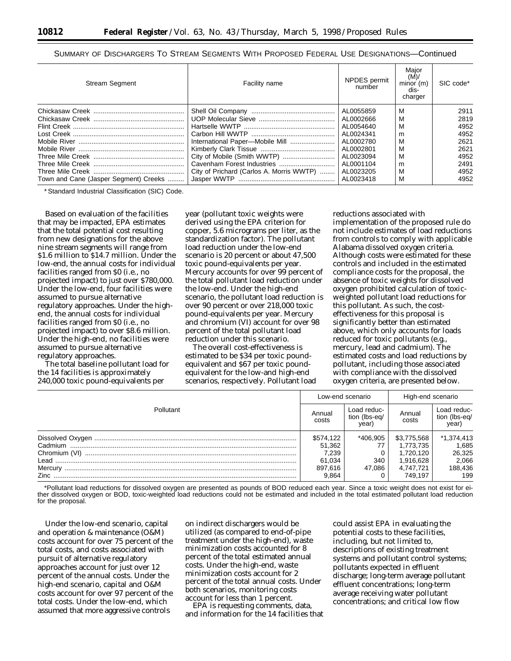SUMMARY OF DISCHARGERS TO STREAM SEGMENTS WITH PROPOSED FEDERAL USE DESIGNATIONS—Continued

| <b>Stream Segment</b>                 | Facility name                            | <b>NPDES</b> permit<br>number | Major<br>(M)<br>minor (m)<br>dis-<br>charger | SIC code* |
|---------------------------------------|------------------------------------------|-------------------------------|----------------------------------------------|-----------|
|                                       |                                          | AL0055859                     | м                                            | 2911      |
|                                       |                                          | AL0002666                     | M                                            | 2819      |
|                                       |                                          | AL0054640                     | м                                            | 4952      |
|                                       |                                          | AL0024341                     | m                                            | 4952      |
|                                       |                                          | AL0002780                     | M                                            | 2621      |
|                                       |                                          | AL0002801                     | м                                            | 2621      |
|                                       |                                          | AL0023094                     | м                                            | 4952      |
|                                       |                                          | AL0001104                     | m                                            | 2491      |
|                                       | City of Prichard (Carlos A. Morris WWTP) | AL0023205                     | M                                            | 4952      |
| Town and Cane (Jasper Segment) Creeks |                                          | AL0023418                     | M                                            | 4952      |

\*Standard Industrial Classification (SIC) Code.

Based on evaluation of the facilities that may be impacted, EPA estimates that the total potential cost resulting from new designations for the above nine stream segments will range from \$1.6 million to \$14.7 million. Under the low-end, the annual costs for individual facilities ranged from \$0 (i.e., no projected impact) to just over \$780,000. Under the low-end, four facilities were assumed to pursue alternative regulatory approaches. Under the highend, the annual costs for individual facilities ranged from \$0 (i.e., no projected impact) to over \$8.6 million. Under the high-end, no facilities were assumed to pursue alternative regulatory approaches.

The total baseline pollutant load for the 14 facilities is approximately 240,000 toxic pound-equivalents per

year (pollutant toxic weights were derived using the EPA criterion for copper, 5.6 micrograms per liter, as the standardization factor). The pollutant load reduction under the low-end scenario is 20 percent or about 47,500 toxic pound-equivalents per year. Mercury accounts for over 99 percent of the total pollutant load reduction under the low-end. Under the high-end scenario, the pollutant load reduction is over 90 percent or over 218,000 toxic pound-equivalents per year. Mercury and chromium (VI) account for over 98 percent of the total pollutant load reduction under this scenario.

The overall cost-effectiveness is estimated to be \$34 per toxic poundequivalent and \$67 per toxic poundequivalent for the low-and high-end scenarios, respectively. Pollutant load reductions associated with

implementation of the proposed rule do not include estimates of load reductions from controls to comply with applicable Alabama dissolved oxygen criteria. Although costs were estimated for these controls and included in the estimated compliance costs for the proposal, the absence of toxic weights for dissolved oxygen prohibited calculation of toxicweighted pollutant load reductions for this pollutant. As such, the costeffectiveness for this proposal is significantly better than estimated above, which only accounts for loads reduced for toxic pollutants (e.g., mercury, lead and cadmium). The estimated costs and load reductions by pollutant, including those associated with compliance with the dissolved oxygen criteria, are presented below.

|           | Low-end scenario |                                       | High-end scenario |                                       |
|-----------|------------------|---------------------------------------|-------------------|---------------------------------------|
| Pollutant |                  | Load reduc-<br>tion (lbs-eq/<br>year) | Annual<br>costs   | Load reduc-<br>tion (lbs-eq/<br>year) |
|           | \$574,122        | *406.905                              | \$3,775,568       | *1,374,413                            |
|           | 51.362           |                                       | 1.773.735         | 1,685                                 |
|           | 7.239            |                                       | 1.720.120         | 26,325                                |
|           | 61.034           | 340                                   | 1.916.628         | 2,066                                 |
|           | 897.616          | 47.086                                | 4.747.721         | 188,436                               |
|           | 9.864            |                                       | 749.197           | 199                                   |

\*Pollutant load reductions for dissolved oxygen are presented as pounds of BOD reduced each year. Since a toxic weight does not exist for either dissolved oxygen or BOD, toxic-weighted load reductions could not be estimated and included in the total estimated pollutant load reduction for the proposal.

Under the low-end scenario, capital and operation & maintenance (O&M) costs account for over 75 percent of the total costs, and costs associated with pursuit of alternative regulatory approaches account for just over 12 percent of the annual costs. Under the high-end scenario, capital and O&M costs account for over 97 percent of the total costs. Under the low-end, which assumed that more aggressive controls

on indirect dischargers would be utilized (as compared to end-of-pipe treatment under the high-end), waste minimization costs accounted for 8 percent of the total estimated annual costs. Under the high-end, waste minimization costs account for 2 percent of the total annual costs. Under both scenarios, monitoring costs account for less than 1 percent.

EPA is requesting comments, data, and information for the 14 facilities that

could assist EPA in evaluating the potential costs to these facilities, including, but not limited to, descriptions of existing treatment systems and pollutant control systems; pollutants expected in effluent discharge; long-term average pollutant effluent concentrations; long-term average receiving water pollutant concentrations; and critical low flow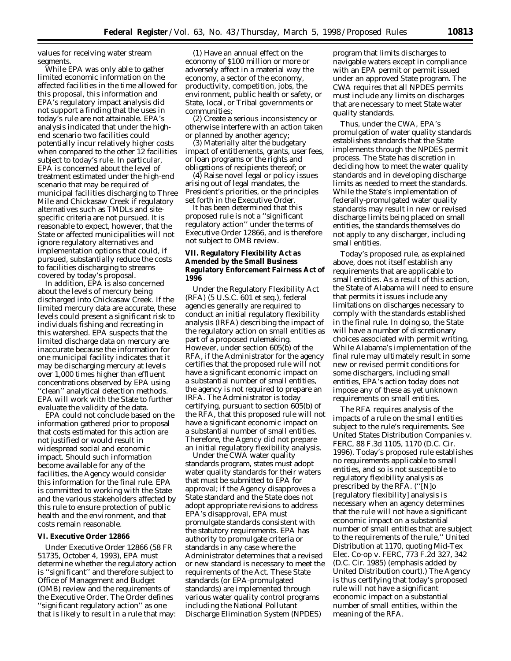values for receiving water stream segments.

While EPA was only able to gather limited economic information on the affected facilities in the time allowed for this proposal, this information and EPA's regulatory impact analysis did not support a finding that the uses in today's rule are not attainable. EPA's analysis indicated that under the highend scenario two facilities could potentially incur relatively higher costs when compared to the other 12 facilities subject to today's rule. In particular, EPA is concerned about the level of treatment estimated under the high-end scenario that may be required of municipal facilities discharging to Three Mile and Chickasaw Creek if regulatory alternatives such as TMDLs and sitespecific criteria are not pursued. It is reasonable to expect, however, that the State or affected municipalities will not ignore regulatory alternatives and implementation options that could, if pursued, substantially reduce the costs to facilities discharging to streams covered by today's proposal.

In addition, EPA is also concerned about the levels of mercury being discharged into Chickasaw Creek. If the limited mercury data are accurate, these levels could present a significant risk to individuals fishing and recreating in this watershed. EPA suspects that the limited discharge data on mercury are inaccurate because the information for one municipal facility indicates that it may be discharging mercury at levels over 1,000 times higher than effluent concentrations observed by EPA using ''clean'' analytical detection methods. EPA will work with the State to further evaluate the validity of the data.

EPA could not conclude based on the information gathered prior to proposal that costs estimated for this action are not justified or would result in widespread social and economic impact. Should such information become available for any of the facilities, the Agency would consider this information for the final rule. EPA is committed to working with the State and the various stakeholders affected by this rule to ensure protection of public health and the environment, and that costs remain reasonable.

# **VI. Executive Order 12866**

Under Executive Order 12866 (58 FR 51735, October 4, 1993), EPA must determine whether the regulatory action is ''significant'' and therefore subject to Office of Management and Budget (OMB) review and the requirements of the Executive Order. The Order defines ''significant regulatory action'' as one that is likely to result in a rule that may:

(1) Have an annual effect on the economy of \$100 million or more or adversely affect in a material way the economy, a sector of the economy, productivity, competition, jobs, the environment, public health or safety, or State, local, or Tribal governments or communities;

(2) Create a serious inconsistency or otherwise interfere with an action taken or planned by another agency;

(3) Materially alter the budgetary impact of entitlements, grants, user fees, or loan programs or the rights and obligations of recipients thereof; or

(4) Raise novel legal or policy issues arising out of legal mandates, the President's priorities, or the principles set forth in the Executive Order.

It has been determined that this proposed rule is not a ''significant regulatory action'' under the terms of Executive Order 12866, and is therefore not subject to OMB review.

## **VII. Regulatory Flexibility Act as Amended by the Small Business Regulatory Enforcement Fairness Act of 1996**

Under the Regulatory Flexibility Act (RFA) (5 U.S.C. 601 *et seq.*), federal agencies generally are required to conduct an initial regulatory flexibility analysis (IRFA) describing the impact of the regulatory action on small entities as part of a proposed rulemaking. However, under section 605(b) of the RFA, if the Administrator for the agency certifies that the proposed rule will not have a significant economic impact on a substantial number of small entities, the agency is not required to prepare an IRFA. The Administrator is today certifying, pursuant to section 605(b) of the RFA, that this proposed rule will not have a significant economic impact on a substantial number of small entities. Therefore, the Agency did not prepare an initial regulatory flexibility analysis.

Under the CWA water quality standards program, states must adopt water quality standards for their waters that must be submitted to EPA for approval; if the Agency disapproves a State standard and the State does not adopt appropriate revisions to address EPA's disapproval, EPA must promulgate standards consistent with the statutory requirements. EPA has authority to promulgate criteria or standards in any case where the Administrator determines that a revised or new standard is necessary to meet the requirements of the Act. These State standards (or EPA-promulgated standards) are implemented through various water quality control programs including the National Pollutant Discharge Elimination System (NPDES)

program that limits discharges to navigable waters except in compliance with an EPA permit or permit issued under an approved State program. The CWA requires that all NPDES permits must include any limits on discharges that are necessary to meet State water quality standards.

Thus, under the CWA, EPA's promulgation of water quality standards establishes standards that the State implements through the NPDES permit process. The State has discretion in deciding how to meet the water quality standards and in developing discharge limits as needed to meet the standards. While the State's implementation of federally-promulgated water quality standards may result in new or revised discharge limits being placed on small entities, the standards themselves do not apply to any discharger, including small entities.

Today's proposed rule, as explained above, does not itself establish any requirements that are applicable to small entities. As a result of this action, the State of Alabama will need to ensure that permits it issues include any limitations on discharges necessary to comply with the standards established in the final rule. In doing so, the State will have a number of discretionary choices associated with permit writing. While Alabama's implementation of the final rule may ultimately result in some new or revised permit conditions for some dischargers, including small entities, EPA's action today does not impose any of these as yet unknown requirements on small entities.

The RFA requires analysis of the impacts of a rule on the small entities subject to the rule's requirements. See *United States Distribution Companies* v. *FERC,* 88 F.3d 1105, 1170 (D.C. Cir. 1996). Today's proposed rule establishes no requirements applicable to small entities, and so is not susceptible to regulatory flexibility analysis as prescribed by the RFA. (''[N]o [regulatory flexibility] analysis is necessary when an agency determines that the rule will not have a significant economic impact on a substantial number of small entities *that are subject to the requirements of the rule*,'' *United Distribution* at 1170, *quoting Mid-Tex Elec. Co-op* v. *FERC*, 773 F.2d 327, 342 (D.C. Cir. 1985) (emphasis added by *United Distribution* court).) The Agency is thus certifying that today's proposed rule will not have a significant economic impact on a substantial number of small entities, within the meaning of the RFA.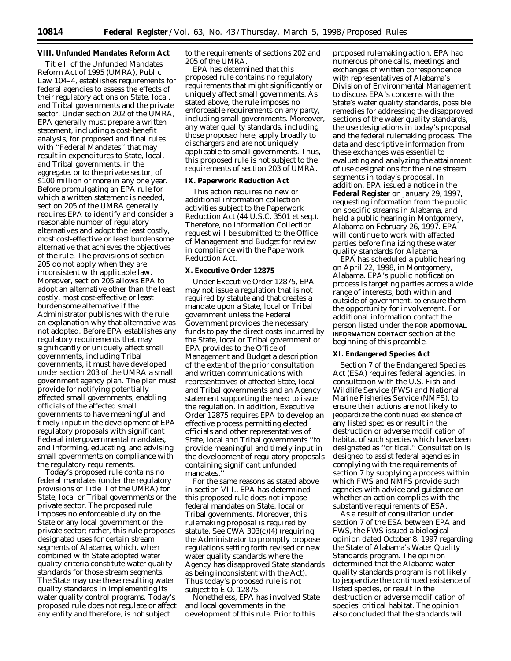## **VIII. Unfunded Mandates Reform Act**

Title II of the Unfunded Mandates Reform Act of 1995 (UMRA), Public Law 104–4, establishes requirements for federal agencies to assess the effects of their regulatory actions on State, local, and Tribal governments and the private sector. Under section 202 of the UMRA, EPA generally must prepare a written statement, including a cost-benefit analysis, for proposed and final rules with ''Federal Mandates'' that may result in expenditures to State, local, and Tribal governments, in the aggregate, or to the private sector, of \$100 million or more in any one year. Before promulgating an EPA rule for which a written statement is needed, section 205 of the UMRA generally requires EPA to identify and consider a reasonable number of regulatory alternatives and adopt the least costly, most cost-effective or least burdensome alternative that achieves the objectives of the rule. The provisions of section 205 do not apply when they are inconsistent with applicable law. Moreover, section 205 allows EPA to adopt an alternative other than the least costly, most cost-effective or least burdensome alternative if the Administrator publishes with the rule an explanation why that alternative was not adopted. Before EPA establishes any regulatory requirements that may significantly or uniquely affect small governments, including Tribal governments, it must have developed under section 203 of the UMRA a small government agency plan. The plan must provide for notifying potentially affected small governments, enabling officials of the affected small governments to have meaningful and timely input in the development of EPA regulatory proposals with significant Federal intergovernmental mandates, and informing, educating, and advising small governments on compliance with the regulatory requirements.

Today's proposed rule contains no federal mandates (under the regulatory provisions of Title II of the UMRA) for State, local or Tribal governments or the private sector. The proposed rule imposes no enforceable duty on the State or any local government or the private sector; rather, this rule proposes designated uses for certain stream segments of Alabama, which, when combined with State adopted water quality criteria constitute water quality standards for those stream segments. The State may use these resulting water quality standards in implementing its water quality control programs. Today's proposed rule does not regulate or affect any entity and therefore, is not subject

to the requirements of sections 202 and 205 of the UMRA.

EPA has determined that this proposed rule contains no regulatory requirements that might significantly or uniquely affect small governments. As stated above, the rule imposes no enforceable requirements on any party, including small governments. Moreover, any water quality standards, including those proposed here, apply broadly to dischargers and are not uniquely applicable to small governments. Thus, this proposed rule is not subject to the requirements of section 203 of UMRA.

## **IX. Paperwork Reduction Act**

This action requires no new or additional information collection activities subject to the Paperwork Reduction Act (44 U.S.C. 3501 *et seq.*). Therefore, no Information Collection request will be submitted to the Office of Management and Budget for review in compliance with the Paperwork Reduction Act.

## **X. Executive Order 12875**

Under Executive Order 12875, EPA may not issue a regulation that is not required by statute and that creates a mandate upon a State, local or Tribal government unless the Federal Government provides the necessary funds to pay the direct costs incurred by the State, local or Tribal government or EPA provides to the Office of Management and Budget a description of the extent of the prior consultation and written communications with representatives of affected State, local and Tribal governments and an Agency statement supporting the need to issue the regulation. In addition, Executive Order 12875 requires EPA to develop an effective process permitting elected officials and other representatives of State, local and Tribal governments ''to provide meaningful and timely input in the development of regulatory proposals containing significant unfunded mandates.''

For the same reasons as stated above in section VIII., EPA has determined this proposed rule does not impose federal mandates on State, local or Tribal governments. Moreover, this rulemaking proposal is required by statute. See CWA 303(c)(4) (requiring the Administrator to promptly propose regulations setting forth revised or new water quality standards where the Agency has disapproved State standards as being inconsistent with the Act). Thus today's proposed rule is not subject to E.O. 12875.

Nonetheless, EPA has involved State and local governments in the development of this rule. Prior to this

proposed rulemaking action, EPA had numerous phone calls, meetings and exchanges of written correspondence with representatives of Alabama's Division of Environmental Management to discuss EPA's concerns with the State's water quality standards, possible remedies for addressing the disapproved sections of the water quality standards, the use designations in today's proposal and the federal rulemaking process. The data and descriptive information from these exchanges was essential to evaluating and analyzing the attainment of use designations for the nine stream segments in today's proposal. In addition, EPA issued a notice in the **Federal Register** on January 29, 1997, requesting information from the public on specific streams in Alabama, and held a public hearing in Montgomery, Alabama on February 26, 1997. EPA will continue to work with affected parties before finalizing these water quality standards for Alabama.

EPA has scheduled a public hearing on April 22, 1998, in Montgomery, Alabama. EPA's public notification process is targeting parties across a wide range of interests, both within and outside of government, to ensure them the opportunity for involvement. For additional information contact the person listed under the **FOR ADDITIONAL INFORMATION CONTACT** section at the beginning of this preamble.

## **XI. Endangered Species Act**

Section 7 of the Endangered Species Act (ESA) requires federal agencies, in consultation with the U.S. Fish and Wildlife Service (FWS) and National Marine Fisheries Service (NMFS), to ensure their actions are not likely to jeopardize the continued existence of any listed species or result in the destruction or adverse modification of habitat of such species which have been designated as ''critical.'' Consultation is designed to assist federal agencies in complying with the requirements of section 7 by supplying a process within which FWS and NMFS provide such agencies with advice and guidance on whether an action complies with the substantive requirements of ESA.

As a result of consultation under section 7 of the ESA between EPA and FWS, the FWS issued a biological opinion dated October 8, 1997 regarding the State of Alabama's Water Quality Standards program. The opinion determined that the Alabama water quality standards program is not likely to jeopardize the continued existence of listed species, or result in the destruction or adverse modification of species' critical habitat. The opinion also concluded that the standards will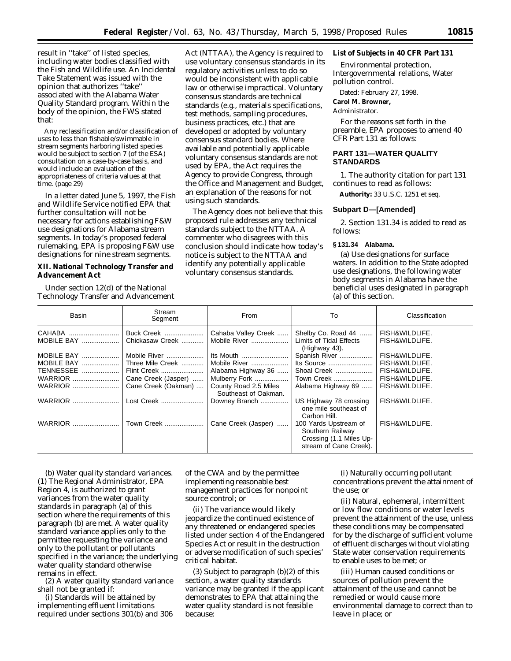result in ''take'' of listed species, including water bodies classified with the Fish and Wildlife use. An Incidental Take Statement was issued with the opinion that authorizes ''take'' associated with the Alabama Water Quality Standard program. Within the body of the opinion, the FWS stated that:

Any reclassification and/or classification of uses to less than fishable/swimmable in stream segments harboring listed species would be subject to section 7 (of the ESA) consultation on a case-by-case basis, and would include an evaluation of the appropriateness of criteria values at that time. (page 29)

In a letter dated June 5, 1997, the Fish and Wildlife Service notified EPA that further consultation will not be necessary for actions establishing F&W use designations for Alabama stream segments. In today's proposed federal rulemaking, EPA is proposing F&W use designations for nine stream segments.

## **XII. National Technology Transfer and Advancement Act**

Under section 12(d) of the National Technology Transfer and Advancement

Act (NTTAA), the Agency is required to use voluntary consensus standards in its regulatory activities unless to do so would be inconsistent with applicable law or otherwise impractical. Voluntary consensus standards are technical standards (e.g., materials specifications, test methods, sampling procedures, business practices, etc.) that are developed or adopted by voluntary consensus standard bodies. Where available and potentially applicable voluntary consensus standards are not used by EPA, the Act requires the Agency to provide Congress, through the Office and Management and Budget, an explanation of the reasons for not using such standards.

The Agency does not believe that this proposed rule addresses any technical standards subject to the NTTAA. A commenter who disagrees with this conclusion should indicate how today's notice is subject to the NTTAA and identify any potentially applicable voluntary consensus standards.

# **List of Subjects in 40 CFR Part 131**

Environmental protection, Intergovernmental relations, Water pollution control.

Dated: February 27, 1998.

## **Carol M. Browner,**

#### *Administrator.*

For the reasons set forth in the preamble, EPA proposes to amend 40 CFR Part 131 as follows:

#### **PART 131—WATER QUALITY STANDARDS**

1. The authority citation for part 131 continues to read as follows:

**Authority:** 33 U.S.C. 1251 et seq.

## **Subpart D—[Amended]**

2. Section 131.34 is added to read as follows:

# **§ 131.34 Alabama.**

(a) *Use designations for surface waters.* In addition to the State adopted use designations, the following water body segments in Alabama have the beneficial uses designated in paragraph (a) of this section.

| <b>Basin</b>         | Stream<br>Segment             | From                                          | To                                                                                             | Classification                   |
|----------------------|-------------------------------|-----------------------------------------------|------------------------------------------------------------------------------------------------|----------------------------------|
| CAHABA<br>MOBILE BAY | Buck Creek<br>Chickasaw Creek | Cahaba Valley Creek<br>Mobile River           | Shelby Co. Road 44<br>Limits of Tidal Effects<br>(Highway 43).                                 | FISH&WILDLIFE.<br>FISH&WILDLIFE. |
| MOBILE BAY           | Mobile River                  | Its Mouth                                     | Spanish River                                                                                  | FISH&WILDLIFE.                   |
| MOBILE BAY           | Three Mile Creek              | Mobile River                                  | Its Source                                                                                     | FISH&WILDLIFE.                   |
| TENNESSEE            | Flint Creek                   | Alabama Highway 36                            | Shoal Creek                                                                                    | FISH&WILDLIFE.                   |
| <b>WARRIOR</b>       | Cane Creek (Jasper)           | Mulberry Fork                                 | Town Creek                                                                                     | FISH&WILDLIFE.                   |
| <b>WARRIOR</b>       | Cane Creek (Oakman)           | County Road 2.5 Miles<br>Southeast of Oakman. | Alabama Highway 69                                                                             | FISH&WILDLIFE.                   |
| <b>WARRIOR</b>       | Lost Creek                    | Downey Branch                                 | US Highway 78 crossing<br>one mile southeast of<br>Carbon Hill.                                | FISH&WILDLIFE.                   |
| <b>WARRIOR</b>       | Town Creek                    | Cane Creek (Jasper)                           | 100 Yards Upstream of<br>Southern Railway<br>Crossing (1.1 Miles Up-<br>stream of Cane Creek). | FISH&WILDLIFE.                   |

(b) *Water quality standard variances.* (1) The Regional Administrator, EPA Region 4, is authorized to grant variances from the water quality standards in paragraph (a) of this section where the requirements of this paragraph (b) are met. A water quality standard variance applies only to the permittee requesting the variance and only to the pollutant or pollutants specified in the variance; the underlying water quality standard otherwise remains in effect.

(2) A water quality standard variance shall not be granted if:

(i) Standards will be attained by implementing effluent limitations required under sections 301(b) and 306

of the CWA and by the permittee implementing reasonable best management practices for nonpoint source control; or

(ii) The variance would likely jeopardize the continued existence of any threatened or endangered species listed under section 4 of the Endangered Species Act or result in the destruction or adverse modification of such species' critical habitat.

(3) Subject to paragraph (b)(2) of this section, a water quality standards variance may be granted if the applicant demonstrates to EPA that attaining the water quality standard is not feasible because:

(i) Naturally occurring pollutant concentrations prevent the attainment of the use; or

(ii) Natural, ephemeral, intermittent or low flow conditions or water levels prevent the attainment of the use, unless these conditions may be compensated for by the discharge of sufficient volume of effluent discharges without violating State water conservation requirements to enable uses to be met; or

(iii) Human caused conditions or sources of pollution prevent the attainment of the use and cannot be remedied or would cause more environmental damage to correct than to leave in place; or